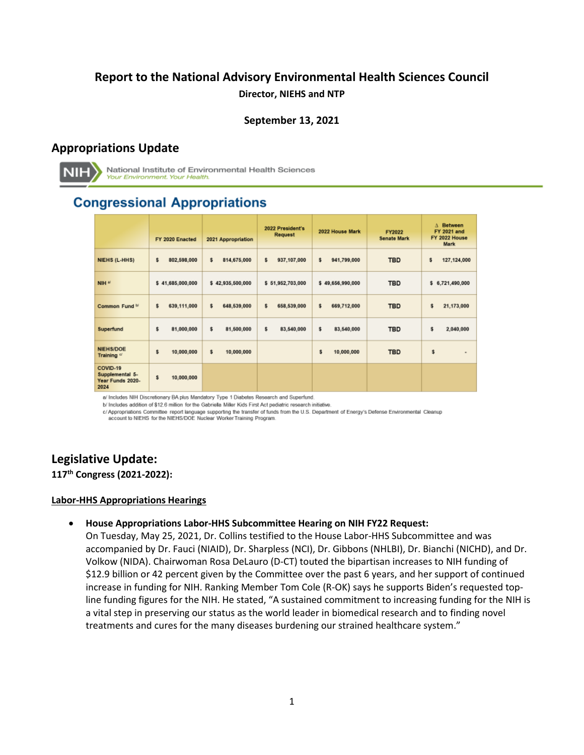# **Report to the National Advisory Environmental Health Sciences Council Director, NIEHS and NTP**

### **September 13, 2021**

## **Appropriations Update**



National Institute of Environmental Health Sciences **Your Environment. Your Health.** 

# **Congressional Appropriations**

|                                                         | FY 2020 Enacted   | 2021 Appropriation | 2022 President's<br><b>Request</b> | 2022 House Mark   | FY2022<br><b>Senate Mark</b> | Between<br>Δ<br><b>FY 2021 and</b><br>FY 2022 House<br>Mark |
|---------------------------------------------------------|-------------------|--------------------|------------------------------------|-------------------|------------------------------|-------------------------------------------------------------|
| NIEHS (L-HHS)                                           | s<br>802,598,000  | s.<br>814,675,000  | s<br>937,107,000                   | \$<br>941,799,000 | <b>TBD</b>                   | \$<br>127,124,000                                           |
| NIH <sup>a</sup>                                        | \$41,685,000,000  | \$42,935,500,000   | \$51,952,703,000                   | \$49,656,990,000  | <b>TBD</b>                   | \$6,721,490,000                                             |
| Common Fund b/                                          | \$<br>639,111,000 | \$<br>648,539,000  | s<br>658,539,000                   | \$<br>669,712,000 | <b>TBD</b>                   | \$<br>21,173,000                                            |
| Superfund                                               | \$<br>81,000,000  | s.<br>81,500,000   | \$<br>83,540,000                   | \$<br>83,540,000  | <b>TBD</b>                   | \$<br>2,040,000                                             |
| <b>NIEHS/DOE</b><br>Training <sup>o</sup>               | s<br>10,000,000   | \$<br>10,000,000   |                                    | \$<br>10,000,000  | <b>TBD</b>                   | \$<br>$\sim$                                                |
| COVID-19<br>Supplemental 5-<br>Year Funds 2020-<br>2024 | s<br>10,000,000   |                    |                                    |                   |                              |                                                             |

a/ Includes NIH Discretionary BA plus Mandatory Type 1 Diabetes Research and Superfund.

b/ Includes addition of \$12.6 million for the Gabriella Miller Kids First Act pediatric research initiative.

c/Appropriations Committee report language supporting the transfer of funds from the U.S. Department of Energy's Defense Environmental Cleanup<br>account to NIEHS for the NIEHS/DOE Nuclear Worker Training Program.

# **Legislative Update:**

**117th Congress (2021-2022):** 

#### **Labor-HHS Appropriations Hearings**

#### • **House Appropriations Labor-HHS Subcommittee Hearing on NIH FY22 Request:**

 On Tuesday, May 25, 2021, Dr. Collins testified to the House Labor-HHS Subcommittee and was accompanied by Dr. Fauci (NIAID), Dr. Sharpless (NCI), Dr. Gibbons (NHLBI), Dr. Bianchi (NICHD), and Dr. Volkow (NIDA). Chairwoman Rosa DeLauro (D-CT) touted the bipartisan increases to NIH funding of \$12.9 billion or 42 percent given by the Committee over the past 6 years, and her support of continued increase in funding for NIH. Ranking Member Tom Cole (R-OK) says he supports Biden's requested topline funding figures for the NIH. He stated, "A sustained commitment to increasing funding for the NIH is a vital step in preserving our status as the world leader in biomedical research and to finding novel treatments and cures for the many diseases burdening our strained healthcare system."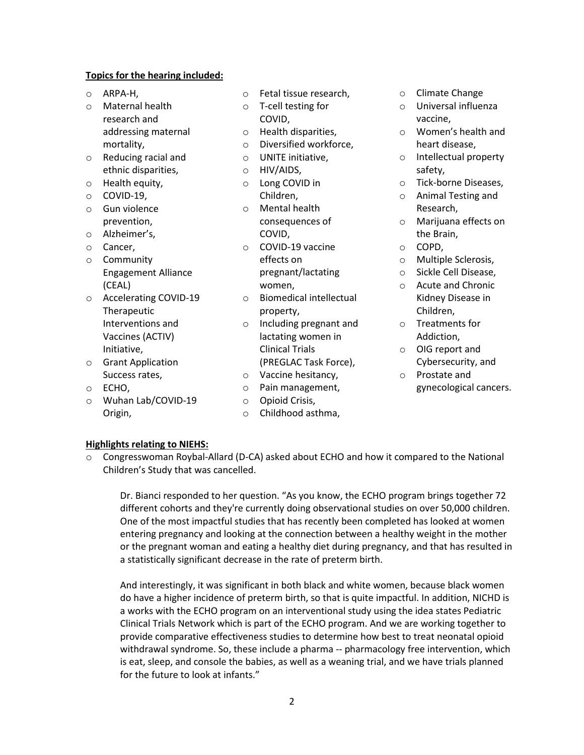#### **Topics for the hearing included:**

- 
- research and **COVID**, **COVID**, **COVID**, **COVID**, **Vaccine**, mortality, and the original control of Diversified workforce, the art disease, heart disease,
- o Reducing racial and  $\Box$  o UNITE initiative,  $\Box$  o Intellectual property ethnic disparities,  $\qquad \qquad \circ \qquad$  HIV/AIDS, safety,
- 
- 
- 
- 
- 
- o Community effects on o Multiple Sclerosis,
- Therapeutic property,
- 
- 
- o Wuhan Lab/COVID-19 o Opioid Crisis,
- o ARPA-H, o Fetal tissue research, o Climate Change
	-
	-
	-
	-
	-
	-
	-
- o Gun violence o Mental health Research,
- o Alzheimer's, COVID, the Brain, o Cancer, o COVID-19 vaccine Engagement Alliance **pregnant/lactating** o Sickle Cell Disease,
- o Accelerating COVID-19 o Biomedical intellectual Kidney Di<br>Therapeutic original property, contract the Children,
	- Interventions and  $\Box$  o Including pregnant and  $\Box$  Treatments for Vaccines (ACTIV) lactating women in Addiction, Initiative, and Clinical Trials of OIG report and Clinical Trials of OIG report and
	- Success rates, **o** Vaccine hesitancy, **o** Prostate and
		-
		-
	- Origin, and the Childhood asthma,
- 
- $\circ$  Universal influenza
- addressing maternal o Health disparities, both o Women's health and
	-
- o Health equity,  $\circ$  Long COVID in  $\circ$  Tick-borne Diseases,
- o COVID-19, Children, o Animal Testing and
	- prevention, and one one consequences of the consequences of the consequences of the matrix of Marijuana effects on
		-
		-
		-
	- Kidney Disease in (CEAL) women,  $\circ$  Acute and Chronic
		-
- o Grant Application (PREGLAC Task Force), Cybersecurity, and
- o ECHO, o Pain management, gynecological cancers.

#### **Highlights relating to NIEHS:**

o Congresswoman Roybal-Allard (D-CA) asked about ECHO and how it compared to the National Children's Study that was cancelled.

 Dr. Bianci responded to her question. "As you know, the ECHO program brings together 72 different cohorts and they're currently doing observational studies on over 50,000 children. One of the most impactful studies that has recently been completed has looked at women entering pregnancy and looking at the connection between a healthy weight in the mother or the pregnant woman and eating a healthy diet during pregnancy, and that has resulted in a statistically significant decrease in the rate of preterm birth.

 And interestingly, it was significant in both black and white women, because black women do have a higher incidence of preterm birth, so that is quite impactful. In addition, NICHD is a works with the ECHO program on an interventional study using the idea states Pediatric Clinical Trials Network which is part of the ECHO program. And we are working together to provide comparative effectiveness studies to determine how best to treat neonatal opioid withdrawal syndrome. So, these include a pharma -- pharmacology free intervention, which is eat, sleep, and console the babies, as well as a weaning trial, and we have trials planned for the future to look at infants."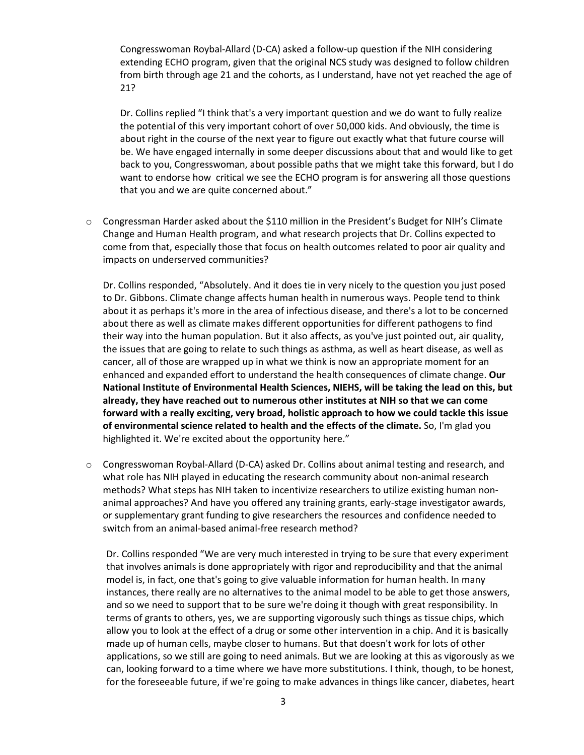extending ECHO program, given that the original NCS study was designed to follow children from birth through age 21 and the cohorts, as I understand, have not yet reached the age of Congresswoman Roybal-Allard (D-CA) asked a follow-up question if the NIH considering 21?

 the potential of this very important cohort of over 50,000 kids. And obviously, the time is want to endorse how critical we see the ECHO program is for answering all those questions Dr. Collins replied "I think that's a very important question and we do want to fully realize about right in the course of the next year to figure out exactly what that future course will be. We have engaged internally in some deeper discussions about that and would like to get back to you, Congresswoman, about possible paths that we might take this forward, but I do that you and we are quite concerned about."

 o Congressman Harder asked about the \$110 million in the President's Budget for NIH's Climate Change and Human Health program, and what research projects that Dr. Collins expected to come from that, especially those that focus on health outcomes related to poor air quality and impacts on underserved communities?

 Dr. Collins responded, "Absolutely. And it does tie in very nicely to the question you just posed to Dr. Gibbons. Climate change affects human health in numerous ways. People tend to think about there as well as climate makes different opportunities for different pathogens to find their way into the human population. But it also affects, as you've just pointed out, air quality, the issues that are going to relate to such things as asthma, as well as heart disease, as well as cancer, all of those are wrapped up in what we think is now an appropriate moment for an  **already, they have reached out to numerous other institutes at NIH so that we can come forward with a really exciting, very broad, holistic approach to how we could tackle this issue of environmental science related to health and the effects of the climate.** So, I'm glad you about it as perhaps it's more in the area of infectious disease, and there's a lot to be concerned enhanced and expanded effort to understand the health consequences of climate change. **Our National Institute of Environmental Health Sciences, NIEHS, will be taking the lead on this, but**  highlighted it. We're excited about the opportunity here."

o Congresswoman Roybal-Allard (D-CA) asked Dr. Collins about animal testing and research, and what role has NIH played in educating the research community about non-animal research methods? What steps has NIH taken to incentivize researchers to utilize existing human nonanimal approaches? And have you offered any training grants, early-stage investigator awards, or supplementary grant funding to give researchers the resources and confidence needed to switch from an animal-based animal-free research method?

 Dr. Collins responded "We are very much interested in trying to be sure that every experiment model is, in fact, one that's going to give valuable information for human health. In many terms of grants to others, yes, we are supporting vigorously such things as tissue chips, which made up of human cells, maybe closer to humans. But that doesn't work for lots of other applications, so we still are going to need animals. But we are looking at this as vigorously as we that involves animals is done appropriately with rigor and reproducibility and that the animal instances, there really are no alternatives to the animal model to be able to get those answers, and so we need to support that to be sure we're doing it though with great responsibility. In allow you to look at the effect of a drug or some other intervention in a chip. And it is basically can, looking forward to a time where we have more substitutions. I think, though, to be honest, for the foreseeable future, if we're going to make advances in things like cancer, diabetes, heart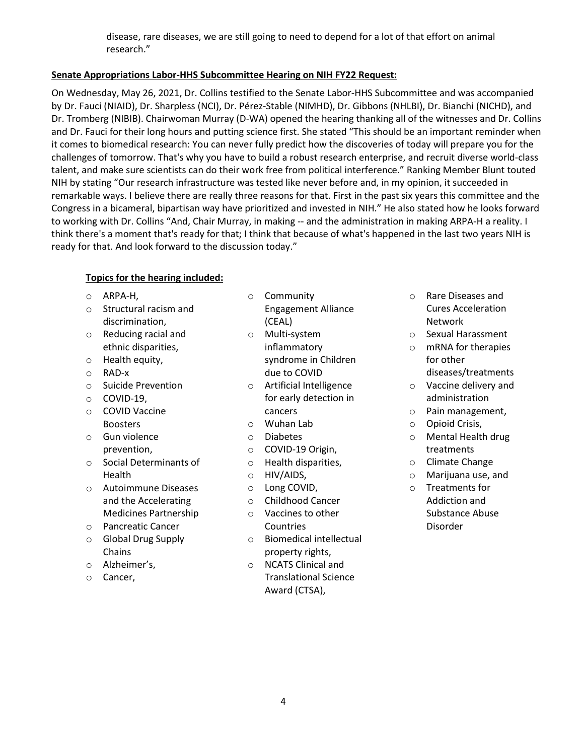disease, rare diseases, we are still going to need to depend for a lot of that effort on animal research."

### **Senate Appropriations Labor-HHS Subcommittee Hearing on NIH FY22 Request:**

 On Wednesday, May 26, 2021, Dr. Collins testified to the Senate Labor-HHS Subcommittee and was accompanied Dr. Tromberg (NIBIB). Chairwoman Murray (D-WA) opened the hearing thanking all of the witnesses and Dr. Collins and Dr. Fauci for their long hours and putting science first. She stated "This should be an important reminder when it comes to biomedical research: You can never fully predict how the discoveries of today will prepare you for the NIH by stating "Our research infrastructure was tested like never before and, in my opinion, it succeeded in remarkable ways. I believe there are really three reasons for that. First in the past six years this committee and the Congress in a bicameral, bipartisan way have prioritized and invested in NIH." He also stated how he looks forward to working with Dr. Collins "And, Chair Murray, in making -- and the administration in making ARPA-H a reality. I by Dr. Fauci (NIAID), Dr. Sharpless (NCI), Dr. Pérez-Stable (NIMHD), Dr. Gibbons (NHLBI), Dr. Bianchi (NICHD), and challenges of tomorrow. That's why you have to build a robust research enterprise, and recruit diverse world-class talent, and make sure scientists can do their work free from political interference." Ranking Member Blunt touted think there's a moment that's ready for that; I think that because of what's happened in the last two years NIH is ready for that. And look forward to the discussion today."

### **Topics for the hearing included:**

- 
- 
- 
- 
- 
- 
- 
- 
- 
- $\circ$  Social Determinants of  $\circ$  Health disparities,  $\circ$  Climate Change
- o Autoimmune Diseases o Long COVID, o Treatments for and the Accelerating  $\qquad \circ \qquad$  Childhood Cancer  $\qquad \qquad$  Addiction and Medicines Partnership  $\circ$  Vaccines to other Substance Abuse
- o Pancreatic Cancer Countries Disorder
- 
- 
- 
- o ARPA-H, o Community o Rare Diseases and o Structural racism and **Engagement Alliance** Cures Acceleration discrimination, and the control (CEAL) and the control of the Network (CEAL) and the Network
- o Reducing racial and o Multi-system o Sexual Harassment ethnic disparities, inflammatory inflammatory on RNA for therapies o Health equity, and the syndrome in Children for other for other controller for other controller for other controller controller controller controller controller controller controller controller controller controller cont
- o Suicide Prevention o Artificial Intelligence o Vaccine delivery and o COVID-19, for early detection in administration o COVID Vaccine cancers o Pain management,
	-
	-
	-
	- prevention, treatments<br>  $\begin{array}{ccc}\n & \circ & \text{COVID-19 Origin,} \\
	 & \circ & \text{Health disparities,} \\
	\end{array}$ 
		-
		-
		-
		-
- o Global Drug Supply **being a constructed** by Biomedical intellectual Chains **property rights**,
- o Alzheimer's, o NCATS Clinical and o Cancer, Translational Science Award (CTSA),
- 
- 
- diseases/treatments
- 
- 
- Boosters **o Communist Communist Communist Communist Communist Communist Communist Communist Communist Communist Communist Communist Communist Communist Communist Communist Communist Communist Communist Communist Communist**
- o Gun violence o Diabetes o Mental Health drug
	-
	- Health **o HIV/AIDS**, **o Marijuana** use, and
		-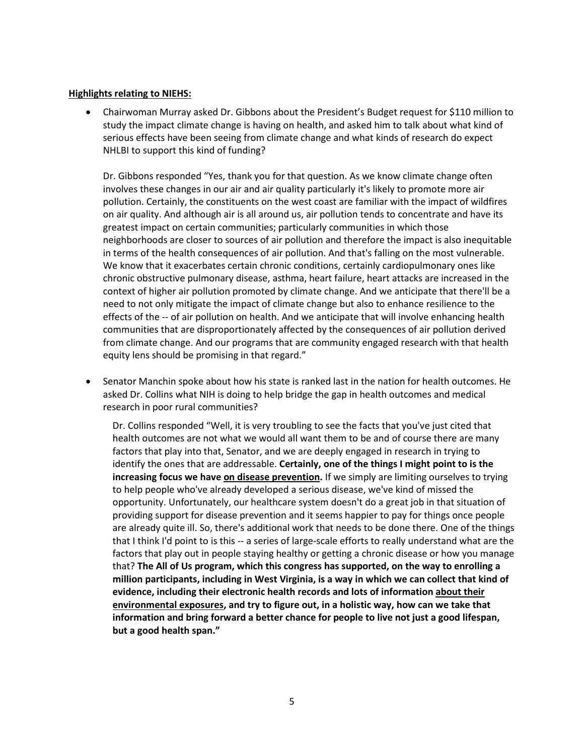#### **Highlights relating to NIEHS:**

• Chairwoman Murray asked Dr. Gibbons about the President's Budget request for \$110 million to study the impact climate change is having on health, and asked him to talk about what kind of serious effects have been seeing from climate change and what kinds of research do expect NHLBI to support this kind of funding?

 Dr. Gibbons responded "Yes, thank you for that question. As we know climate change often involves these changes in our air and air quality particularly it's likely to promote more air pollution. Certainly, the constituents on the west coast are familiar with the impact of wildfires greatest impact on certain communities; particularly communities in which those in terms of the health consequences of air pollution. And that's falling on the most vulnerable. chronic obstructive pulmonary disease, asthma, heart failure, heart attacks are increased in the need to not only mitigate the impact of climate change but also to enhance resilience to the on air quality. And although air is all around us, air pollution tends to concentrate and have its neighborhoods are closer to sources of air pollution and therefore the impact is also inequitable We know that it exacerbates certain chronic conditions, certainly cardiopulmonary ones like context of higher air pollution promoted by climate change. And we anticipate that there'll be a effects of the -- of air pollution on health. And we anticipate that will involve enhancing health communities that are disproportionately affected by the consequences of air pollution derived from climate change. And our programs that are community engaged research with that health equity lens should be promising in that regard."

 asked Dr. Collins what NIH is doing to help bridge the gap in health outcomes and medical • Senator Manchin spoke about how his state is ranked last in the nation for health outcomes. He research in poor rural communities?

 Dr. Collins responded "Well, it is very troubling to see the facts that you've just cited that health outcomes are not what we would all want them to be and of course there are many factors that play into that, Senator, and we are deeply engaged in research in trying to  identify the ones that are addressable. **Certainly, one of the things I might point to is the increasing focus we have on disease prevention.** If we simply are limiting ourselves to trying opportunity. Unfortunately, our healthcare system doesn't do a great job in that situation of providing support for disease prevention and it seems happier to pay for things once people are already quite ill. So, there's additional work that needs to be done there. One of the things factors that play out in people staying healthy or getting a chronic disease or how you manage  that? **The All of Us program, which this congress has supported, on the way to enrolling a million participants, including in West Virginia, is a way in which we can collect that kind of information and bring forward a better chance for people to live not just a good lifespan,**  to help people who've already developed a serious disease, we've kind of missed the that I think I'd point to is this -- a series of large-scale efforts to really understand what are the **evidence, including their electronic health records and lots of information about their environmental exposures, and try to figure out, in a holistic way, how can we take that but a good health span."**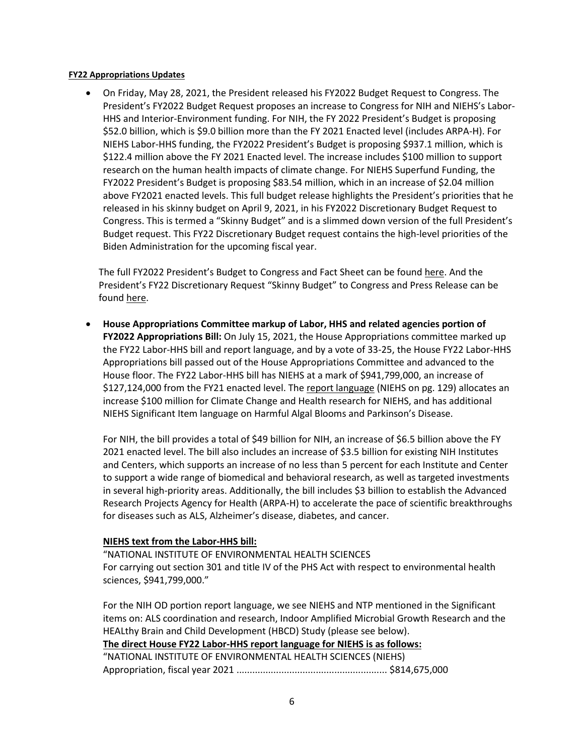#### **FY22 Appropriations Updates**

 • On Friday, May 28, 2021, the President released his FY2022 Budget Request to Congress. The \$52.0 billion, which is \$9.0 billion more than the FY 2021 Enacted level (includes ARPA-H). For FY2022 President's Budget is proposing \$83.54 million, which in an increase of \$2.04 million Congress. This is termed a "Skinny Budget" and is a slimmed down version of the full President's Biden Administration for the upcoming fiscal year. President's FY2022 Budget Request proposes an increase to Congress for NIH and NIEHS's Labor-HHS and Interior-Environment funding. For NIH, the FY 2022 President's Budget is proposing NIEHS Labor-HHS funding, the FY2022 President's Budget is proposing \$937.1 million, which is \$122.4 million above the FY 2021 Enacted level. The increase includes \$100 million to support research on the human health impacts of climate change. For NIEHS Superfund Funding, the above FY2021 enacted levels. This full budget release highlights the President's priorities that he released in his skinny budget on April 9, 2021, in his FY2022 Discretionary Budget Request to Budget request. This FY22 Discretionary Budget request contains the high-level priorities of the

found <u>here</u>. The full FY2022 President's Budget to Congress and Fact Sheet can be found [here.](https://www.whitehouse.gov/omb/budget/) And the President's FY22 Discretionary Request "Skinny Budget" to Congress and Press Release can be

 • **House Appropriations Committee markup of Labor, HHS and related agencies portion of FY2022 Appropriations Bill:** On July 15, 2021, the House Appropriations committee marked up Appropriations bill passed out of the House Appropriations Committee and advanced to the increase \$100 million for Climate Change and Health research for NIEHS, and has additional NIEHS Significant Item language on Harmful Algal Blooms and Parkinson's Disease. the FY22 Labor-HHS bill and report language, and by a vote of 33-25, the House FY22 Labor-HHS House floor. The FY22 Labor-HHS bill has NIEHS at a mark of \$941,799,000, an increase of \$127,124,000 from the FY21 enacted level. Th[e report language](https://docs.house.gov/meetings/AP/AP00/20210715/113908/HMKP-117-AP00-20210715-SD003.pdf) (NIEHS on pg. 129) allocates an

 to support a wide range of biomedical and behavioral research, as well as targeted investments in several high-priority areas. Additionally, the bill includes \$3 billion to establish the Advanced For NIH, the bill provides a total of \$49 billion for NIH, an increase of \$6.5 billion above the FY 2021 enacted level. The bill also includes an increase of \$3.5 billion for existing NIH Institutes and Centers, which supports an increase of no less than 5 percent for each Institute and Center Research Projects Agency for Health (ARPA-H) to accelerate the pace of scientific breakthroughs for diseases such as ALS, Alzheimer's disease, diabetes, and cancer.

#### **NIEHS text from the [Labor-HHS bill:](https://docs.house.gov/meetings/AP/AP07/20210712/112887/BILLS-117-SC-AP-FY2022-LaborHHS-AppropsLHHSdraftbillFY2022.pdf)**

"NATIONAL INSTITUTE OF ENVIRONMENTAL HEALTH SCIENCES For carrying out section 301 and title IV of the PHS Act with respect to environmental health sciences, \$941,799,000."

 For the NIH OD portion report language, we see NIEHS and NTP mentioned in the Significant  **The direct House FY22 Labor-HHS report language for NIEHS is as follows:**  items on: ALS coordination and research, Indoor Amplified Microbial Growth Research and the HEALthy Brain and Child Development (HBCD) Study (please see below). "NATIONAL INSTITUTE OF ENVIRONMENTAL HEALTH SCIENCES (NIEHS) Appropriation, fiscal year 2021 ......................................................... \$814,675,000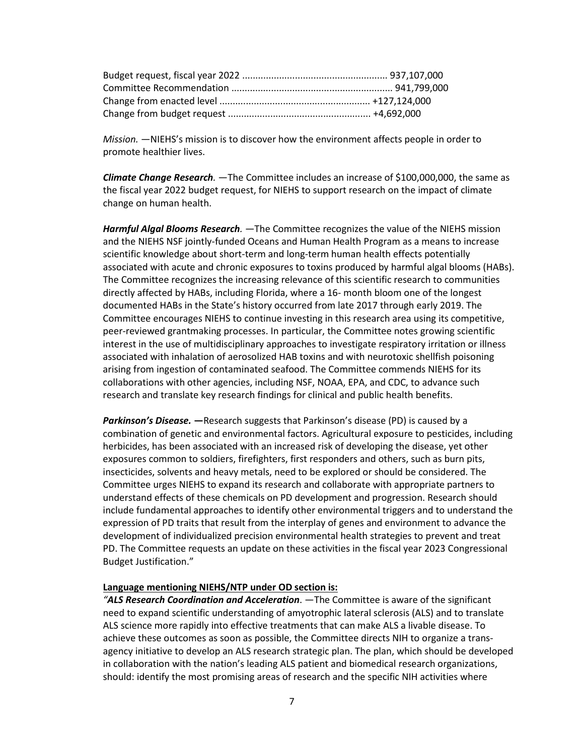*Mission.* —NIEHS's mission is to discover how the environment affects people in order to promote healthier lives.

 the fiscal year 2022 budget request, for NIEHS to support research on the impact of climate *Climate Change Research.* —The Committee includes an increase of \$100,000,000, the same as change on human health.

 scientific knowledge about short-term and long-term human health effects potentially associated with acute and chronic exposures to toxins produced by harmful algal blooms (HABs). The Committee recognizes the increasing relevance of this scientific research to communities interest in the use of multidisciplinary approaches to investigate respiratory irritation or illness *Harmful Algal Blooms Research.* —The Committee recognizes the value of the NIEHS mission and the NIEHS NSF jointly-funded Oceans and Human Health Program as a means to increase directly affected by HABs, including Florida, where a 16- month bloom one of the longest documented HABs in the State's history occurred from late 2017 through early 2019. The Committee encourages NIEHS to continue investing in this research area using its competitive, peer-reviewed grantmaking processes. In particular, the Committee notes growing scientific associated with inhalation of aerosolized HAB toxins and with neurotoxic shellfish poisoning arising from ingestion of contaminated seafood. The Committee commends NIEHS for its collaborations with other agencies, including NSF, NOAA, EPA, and CDC, to advance such research and translate key research findings for clinical and public health benefits.

 *Parkinson's Disease.* **—**Research suggests that Parkinson's disease (PD) is caused by a herbicides, has been associated with an increased risk of developing the disease, yet other insecticides, solvents and heavy metals, need to be explored or should be considered. The Committee urges NIEHS to expand its research and collaborate with appropriate partners to expression of PD traits that result from the interplay of genes and environment to advance the combination of genetic and environmental factors. Agricultural exposure to pesticides, including exposures common to soldiers, firefighters, first responders and others, such as burn pits, understand effects of these chemicals on PD development and progression. Research should include fundamental approaches to identify other environmental triggers and to understand the development of individualized precision environmental health strategies to prevent and treat PD. The Committee requests an update on these activities in the fiscal year 2023 Congressional Budget Justification."

#### **Language mentioning NIEHS/NTP under OD section is:**

 *"ALS Research Coordination and Acceleration*. —The Committee is aware of the significant ALS science more rapidly into effective treatments that can make ALS a livable disease. To need to expand scientific understanding of amyotrophic lateral sclerosis (ALS) and to translate achieve these outcomes as soon as possible, the Committee directs NIH to organize a transagency initiative to develop an ALS research strategic plan. The plan, which should be developed in collaboration with the nation's leading ALS patient and biomedical research organizations, should: identify the most promising areas of research and the specific NIH activities where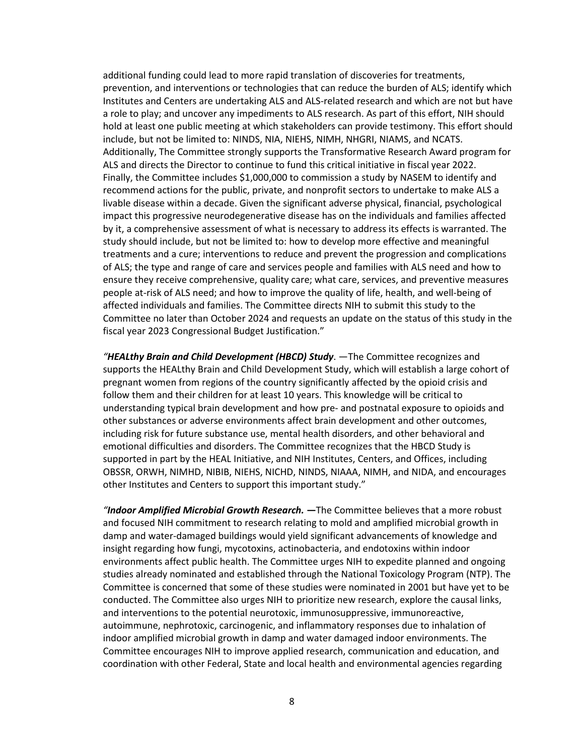Institutes and Centers are undertaking ALS and ALS-related research and which are not but have hold at least one public meeting at which stakeholders can provide testimony. This effort should Finally, the Committee includes \$1,000,000 to commission a study by NASEM to identify and impact this progressive neurodegenerative disease has on the individuals and families affected by it, a comprehensive assessment of what is necessary to address its effects is warranted. The study should include, but not be limited to: how to develop more effective and meaningful people at-risk of ALS need; and how to improve the quality of life, health, and well-being of Committee no later than October 2024 and requests an update on the status of this study in the additional funding could lead to more rapid translation of discoveries for treatments, prevention, and interventions or technologies that can reduce the burden of ALS; identify which a role to play; and uncover any impediments to ALS research. As part of this effort, NIH should include, but not be limited to: NINDS, NIA, NIEHS, NIMH, NHGRI, NIAMS, and NCATS. Additionally, The Committee strongly supports the Transformative Research Award program for ALS and directs the Director to continue to fund this critical initiative in fiscal year 2022. recommend actions for the public, private, and nonprofit sectors to undertake to make ALS a livable disease within a decade. Given the significant adverse physical, financial, psychological treatments and a cure; interventions to reduce and prevent the progression and complications of ALS; the type and range of care and services people and families with ALS need and how to ensure they receive comprehensive, quality care; what care, services, and preventive measures affected individuals and families. The Committee directs NIH to submit this study to the fiscal year 2023 Congressional Budget Justification."

 pregnant women from regions of the country significantly affected by the opioid crisis and follow them and their children for at least 10 years. This knowledge will be critical to understanding typical brain development and how pre- and postnatal exposure to opioids and other substances or adverse environments affect brain development and other outcomes, *"HEALthy Brain and Child Development (HBCD) Study*. —The Committee recognizes and supports the HEALthy Brain and Child Development Study, which will establish a large cohort of including risk for future substance use, mental health disorders, and other behavioral and emotional difficulties and disorders. The Committee recognizes that the HBCD Study is supported in part by the HEAL Initiative, and NIH Institutes, Centers, and Offices, including OBSSR, ORWH, NIMHD, NIBIB, NIEHS, NICHD, NINDS, NIAAA, NIMH, and NIDA, and encourages other Institutes and Centers to support this important study."

 *"Indoor Amplified Microbial Growth Research.* **—**The Committee believes that a more robust and focused NIH commitment to research relating to mold and amplified microbial growth in damp and water-damaged buildings would yield significant advancements of knowledge and studies already nominated and established through the National Toxicology Program (NTP). The conducted. The Committee also urges NIH to prioritize new research, explore the causal links, indoor amplified microbial growth in damp and water damaged indoor environments. The coordination with other Federal, State and local health and environmental agencies regarding insight regarding how fungi, mycotoxins, actinobacteria, and endotoxins within indoor environments affect public health. The Committee urges NIH to expedite planned and ongoing Committee is concerned that some of these studies were nominated in 2001 but have yet to be and interventions to the potential neurotoxic, immunosuppressive, immunoreactive, autoimmune, nephrotoxic, carcinogenic, and inflammatory responses due to inhalation of Committee encourages NIH to improve applied research, communication and education, and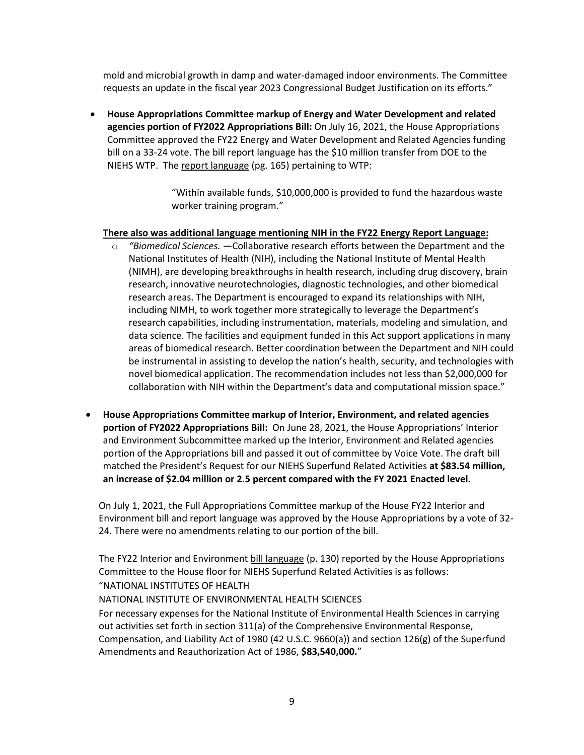requests an update in the fiscal year 2023 Congressional Budget Justification on its efforts." mold and microbial growth in damp and water-damaged indoor environments. The Committee

 bill on a 33-24 vote. The bill report language has the \$10 million transfer from DOE to the NIEHS WTP. The [report language](https://docs.house.gov/meetings/AP/AP00/20210716/113895/HMKP-117-AP00-20210716-SD007.pdf) (pg. 165) pertaining to WTP: • **House Appropriations Committee markup of Energy and Water Development and related agencies portion of FY2022 Appropriations Bill:** On July 16, 2021, the House Appropriations Committee approved the FY22 Energy and Water Development and Related Agencies funding

> "Within available funds, \$10,000,000 is provided to fund the hazardous waste worker training program."

#### **There also was additional language mentioning NIH in the FY22 Energy Report Language:**

- research areas. The Department is encouraged to expand its relationships with NIH, research capabilities, including instrumentation, materials, modeling and simulation, and areas of biomedical research. Better coordination between the Department and NIH could o *"Biomedical Sciences.* —Collaborative research efforts between the Department and the National Institutes of Health (NIH), including the National Institute of Mental Health (NIMH), are developing breakthroughs in health research, including drug discovery, brain research, innovative neurotechnologies, diagnostic technologies, and other biomedical including NIMH, to work together more strategically to leverage the Department's data science. The facilities and equipment funded in this Act support applications in many be instrumental in assisting to develop the nation's health, security, and technologies with novel biomedical application. The recommendation includes not less than \$2,000,000 for collaboration with NIH within the Department's data and computational mission space."
- **portion of FY2022 Appropriations Bill:** On June 28, 2021, the House Appropriations' Interior  **an increase of \$2.04 million or 2.5 percent compared with the FY 2021 Enacted level.**  • **House Appropriations Committee markup of Interior, Environment, and related agencies**  and Environment Subcommittee marked up the Interior, Environment and Related agencies portion of the Appropriations bill and passed it out of committee by Voice Vote. The draft bill matched the President's Request for our NIEHS Superfund Related Activities **at \$83.54 million,**

 24. There were no amendments relating to our portion of the bill. On July 1, 2021, the Full Appropriations Committee markup of the House FY22 Interior and Environment bill and report language was approved by the House Appropriations by a vote of 32-

The FY22 Interior and Environmen[t bill language](https://docs.house.gov/meetings/AP/AP00/20210701/112878/BILLS-117--AP--AP00-FY2022InteriorEnvironmentandRelatedAgenciesSubcommitteeAppropriationsBill.pdf) (p. 130) reported by the House Appropriations Committee to the House floor for NIEHS Superfund Related Activities is as follows: "NATIONAL INSTITUTES OF HEALTH

#### NATIONAL INSTITUTE OF ENVIRONMENTAL HEALTH SCIENCES

 Compensation, and Liability Act of 1980 (42 U.S.C. 9660(a)) and section 126(g) of the Superfund For necessary expenses for the National Institute of Environmental Health Sciences in carrying out activities set forth in section 311(a) of the Comprehensive Environmental Response, Amendments and Reauthorization Act of 1986, **\$83,540,000.**"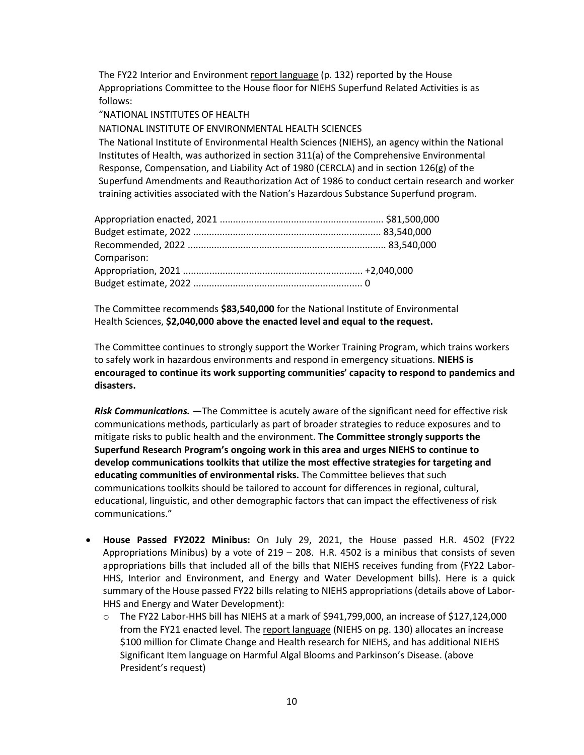Appropriations Committee to the House floor for NIEHS Superfund Related Activities is as The FY22 Interior and Environmen[t report language](https://docs.house.gov/meetings/AP/AP00/20210701/112878/HMKP-117-AP00-20210701-SD002.pdf) (p. 132) reported by the House follows:

"NATIONAL INSTITUTES OF HEALTH

NATIONAL INSTITUTE OF ENVIRONMENTAL HEALTH SCIENCES

 Response, Compensation, and Liability Act of 1980 (CERCLA) and in section 126(g) of the The National Institute of Environmental Health Sciences (NIEHS), an agency within the National Institutes of Health, was authorized in section 311(a) of the Comprehensive Environmental Superfund Amendments and Reauthorization Act of 1986 to conduct certain research and worker training activities associated with the Nation's Hazardous Substance Superfund program.

| Comparison: |  |
|-------------|--|
|             |  |
|             |  |

The Committee recommends **\$83,540,000** for the National Institute of Environmental Health Sciences, **\$2,040,000 above the enacted level and equal to the request.** 

 The Committee continues to strongly support the Worker Training Program, which trains workers  **encouraged to continue its work supporting communities' capacity to respond to pandemics and**  to safely work in hazardous environments and respond in emergency situations. **NIEHS is disasters.** 

 communications methods, particularly as part of broader strategies to reduce exposures and to  **Superfund Research Program's ongoing work in this area and urges NIEHS to continue to educating communities of environmental risks.** The Committee believes that such *Risk Communications.* **—**The Committee is acutely aware of the significant need for effective risk mitigate risks to public health and the environment. **The Committee strongly supports the develop communications toolkits that utilize the most effective strategies for targeting and**  communications toolkits should be tailored to account for differences in regional, cultural, educational, linguistic, and other demographic factors that can impact the effectiveness of risk communications."

- • **House Passed FY2022 Minibus:** On July 29, 2021, the House passed H.R. 4502 (FY22 Appropriations Minibus) by a vote of 219 – 208. H.R. 4502 is a minibus that consists of seven appropriations bills that included all of the bills that NIEHS receives funding from (FY22 Labor- HHS, Interior and Environment, and Energy and Water Development bills). Here is a quick summary of the House passed FY22 bills relating to NIEHS appropriations (details above of Labor-HHS and Energy and Water Development):
	- from the FY21 enacted level. Th[e report language](https://www.govinfo.gov/content/pkg/CRPT-117hrpt96/pdf/CRPT-117hrpt96.pdf) (NIEHS on pg. 130) allocates an increase o The FY22 Labor-HHS bill has NIEHS at a mark of \$941,799,000, an increase of \$127,124,000 \$100 million for Climate Change and Health research for NIEHS, and has additional NIEHS Significant Item language on Harmful Algal Blooms and Parkinson's Disease. (above President's request)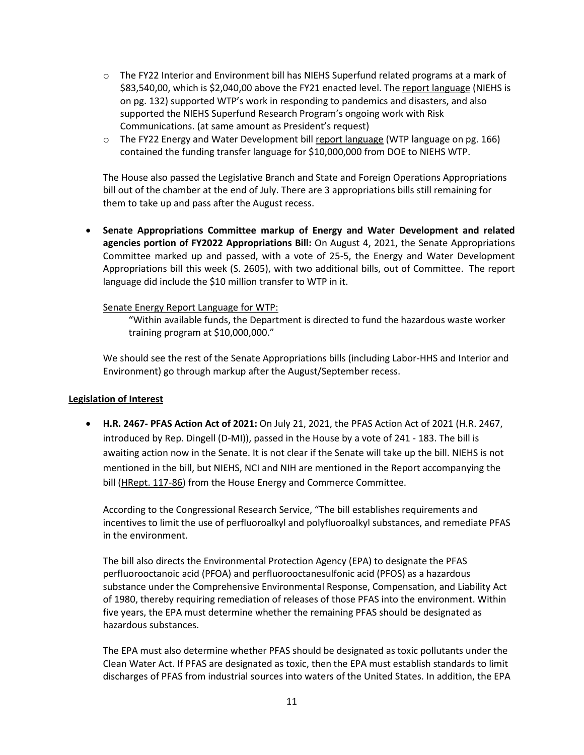- supported the NIEHS Superfund Research Program's ongoing work with Risk o The FY22 Interior and Environment bill has NIEHS Superfund related programs at a mark of \$83,540,00, which is \$2,040,00 above the FY21 enacted level. The [report language](https://www.govinfo.gov/content/pkg/CRPT-117hrpt83/pdf/CRPT-117hrpt83.pdf) (NIEHS is on pg. 132) supported WTP's work in responding to pandemics and disasters, and also Communications. (at same amount as President's request)
- o The FY22 Energy and Water Development bill [report language \(](https://www.govinfo.gov/content/pkg/CRPT-117hrpt98/pdf/CRPT-117hrpt98.pdf)WTP language on pg. 166) contained the funding transfer language for \$10,000,000 from DOE to NIEHS WTP.

 bill out of the chamber at the end of July. There are 3 appropriations bills still remaining for The House also passed the Legislative Branch and State and Foreign Operations Appropriations them to take up and pass after the August recess.

 **agencies portion of FY2022 Appropriations Bill:** On August 4, 2021, the Senate Appropriations Committee marked up and passed, with a vote of 25-5, the Energy and Water Development Appropriations bill this week (S. 2605), with two additional bills, out of Committee. The report language did include the \$10 million transfer to WTP in it. • **Senate Appropriations Committee markup of Energy and Water Development and related** 

#### Senate Energy Report Language for WTP:

"Within available funds, the Department is directed to fund the hazardous waste worker training program at \$10,000,000."

We should see the rest of the Senate Appropriations bills (including Labor-HHS and Interior and Environment) go through markup after the August/September recess.

#### **Legislation of Interest**

 • **H.R. 2467- PFAS Action Act of 2021:** On July 21, 2021, the PFAS Action Act of 2021 (H.R. 2467, introduced by Rep. Dingell (D-MI)), passed in the House by a vote of 241 - 183. The bill is awaiting action now in the Senate. It is not clear if the Senate will take up the bill. NIEHS is not mentioned in the bill, but NIEHS, NCI and NIH are mentioned in the Report accompanying the bill [\(HRept. 117-86\)](https://www.govinfo.gov/content/pkg/CRPT-117hrpt86/pdf/CRPT-117hrpt86-pt1.pdf) from the House Energy and Commerce Committee.

 incentives to limit the use of perfluoroalkyl and polyfluoroalkyl substances, and remediate PFAS According to the Congressional Research Service, "The bill establishes requirements and in the environment.

 of 1980, thereby requiring remediation of releases of those PFAS into the environment. Within The bill also directs the Environmental Protection Agency (EPA) to designate the PFAS perfluorooctanoic acid (PFOA) and perfluorooctanesulfonic acid (PFOS) as a hazardous substance under the Comprehensive Environmental Response, Compensation, and Liability Act five years, the EPA must determine whether the remaining PFAS should be designated as hazardous substances.

 Clean Water Act. If PFAS are designated as toxic, then the EPA must establish standards to limit The EPA must also determine whether PFAS should be designated as toxic pollutants under the discharges of PFAS from industrial sources into waters of the United States. In addition, the EPA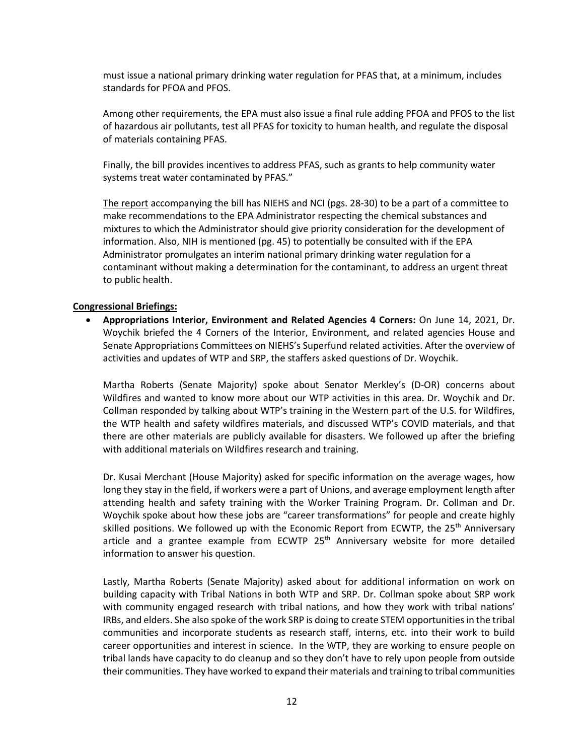must issue a national primary drinking water regulation for PFAS that, at a minimum, includes standards for PFOA and PFOS.

Among other requirements, the EPA must also issue a final rule adding PFOA and PFOS to the list of hazardous air pollutants, test all PFAS for toxicity to human health, and regulate the disposal of materials containing PFAS.

Finally, the bill provides incentives to address PFAS, such as grants to help community water systems treat water contaminated by PFAS."

 mixtures to which the Administrator should give priority consideration for the development of [The report](https://www.congress.gov/117/crpt/hrpt86/CRPT-117hrpt86.pdf) accompanying the bill has NIEHS and NCI (pgs. 28-30) to be a part of a committee to make recommendations to the EPA Administrator respecting the chemical substances and information. Also, NIH is mentioned (pg. 45) to potentially be consulted with if the EPA Administrator promulgates an interim national primary drinking water regulation for a contaminant without making a determination for the contaminant, to address an urgent threat to public health.

#### **Congressional Briefings:**

 • **Appropriations Interior, Environment and Related Agencies 4 Corners:** On June 14, 2021, Dr. Woychik briefed the 4 Corners of the Interior, Environment, and related agencies House and Senate Appropriations Committees on NIEHS's Superfund related activities. After the overview of activities and updates of WTP and SRP, the staffers asked questions of Dr. Woychik.

 Wildfires and wanted to know more about our WTP activities in this area. Dr. Woychik and Dr. Collman responded by talking about WTP's training in the Western part of the U.S. for Wildfires, Martha Roberts (Senate Majority) spoke about Senator Merkley's (D-OR) concerns about the WTP health and safety wildfires materials, and discussed WTP's COVID materials, and that there are other materials are publicly available for disasters. We followed up after the briefing with additional materials on Wildfires research and training.

 long they stay in the field, if workers were a part of Unions, and average employment length after attending health and safety training with the Worker Training Program. Dr. Collman and Dr. information to answer his question. Dr. Kusai Merchant (House Majority) asked for specific information on the average wages, how Woychik spoke about how these jobs are "career transformations" for people and create highly skilled positions. We followed up with the Economic Report from ECWTP, the 25<sup>th</sup> Anniversary article and a grantee example from ECWTP  $25<sup>th</sup>$  Anniversary website for more detailed

 Lastly, Martha Roberts (Senate Majority) asked about for additional information on work on building capacity with Tribal Nations in both WTP and SRP. Dr. Collman spoke about SRP work communities and incorporate students as research staff, interns, etc. into their work to build tribal lands have capacity to do cleanup and so they don't have to rely upon people from outside with community engaged research with tribal nations, and how they work with tribal nations' IRBs, and elders. She also spoke of the work SRP is doing to create STEM opportunities in the tribal career opportunities and interest in science. In the WTP, they are working to ensure people on their communities. They have worked to expand their materials and training to tribal communities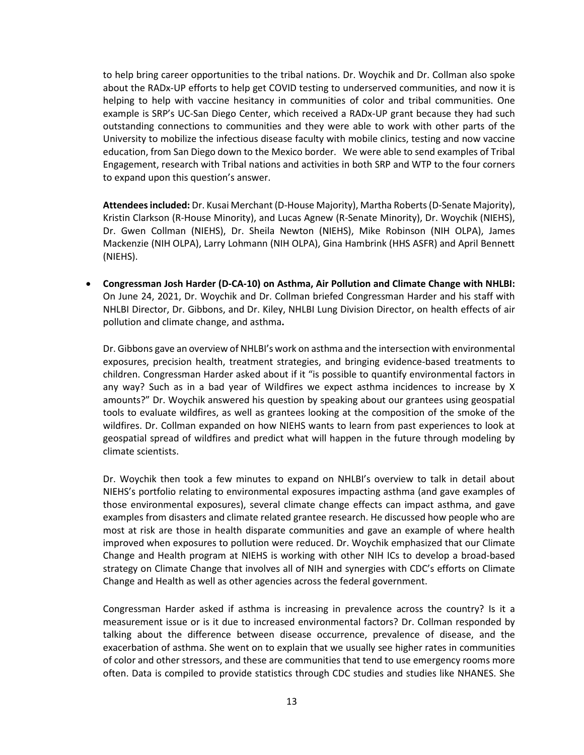to help bring career opportunities to the tribal nations. Dr. Woychik and Dr. Collman also spoke about the RADx-UP efforts to help get COVID testing to underserved communities, and now it is outstanding connections to communities and they were able to work with other parts of the University to mobilize the infectious disease faculty with mobile clinics, testing and now vaccine education, from San Diego down to the Mexico border. We were able to send examples of Tribal Engagement, research with Tribal nations and activities in both SRP and WTP to the four corners helping to help with vaccine hesitancy in communities of color and tribal communities. One example is SRP's UC-San Diego Center, which received a RADx-UP grant because they had such to expand upon this question's answer.

**Attendees included:** Dr. Kusai Merchant (D-House Majority), Martha Roberts (D-Senate Majority), Kristin Clarkson (R-House Minority), and Lucas Agnew (R-Senate Minority), Dr. Woychik (NIEHS), Dr. Gwen Collman (NIEHS), Dr. Sheila Newton (NIEHS), Mike Robinson (NIH OLPA), James Mackenzie (NIH OLPA), Larry Lohmann (NIH OLPA), Gina Hambrink (HHS ASFR) and April Bennett (NIEHS).

 • **Congressman Josh Harder (D-CA-10) on Asthma, Air Pollution and Climate Change with NHLBI:**  On June 24, 2021, Dr. Woychik and Dr. Collman briefed Congressman Harder and his staff with NHLBI Director, Dr. Gibbons, and Dr. Kiley, NHLBI Lung Division Director, on health effects of air pollution and climate change, and asthma**.** 

 any way? Such as in a bad year of Wildfires we expect asthma incidences to increase by X amounts?" Dr. Woychik answered his question by speaking about our grantees using geospatial tools to evaluate wildfires, as well as grantees looking at the composition of the smoke of the wildfires. Dr. Collman expanded on how NIEHS wants to learn from past experiences to look at Dr. Gibbons gave an overview of NHLBI's work on asthma and the intersection with environmental exposures, precision health, treatment strategies, and bringing evidence-based treatments to children. Congressman Harder asked about if it "is possible to quantify environmental factors in geospatial spread of wildfires and predict what will happen in the future through modeling by climate scientists.

 Dr. Woychik then took a few minutes to expand on NHLBI's overview to talk in detail about NIEHS's portfolio relating to environmental exposures impacting asthma (and gave examples of examples from disasters and climate related grantee research. He discussed how people who are most at risk are those in health disparate communities and gave an example of where health those environmental exposures), several climate change effects can impact asthma, and gave improved when exposures to pollution were reduced. Dr. Woychik emphasized that our Climate Change and Health program at NIEHS is working with other NIH ICs to develop a broad-based strategy on Climate Change that involves all of NIH and synergies with CDC's efforts on Climate Change and Health as well as other agencies across the federal government.

 talking about the difference between disease occurrence, prevalence of disease, and the of color and other stressors, and these are communities that tend to use emergency rooms more often. Data is compiled to provide statistics through CDC studies and studies like NHANES. She Congressman Harder asked if asthma is increasing in prevalence across the country? Is it a measurement issue or is it due to increased environmental factors? Dr. Collman responded by exacerbation of asthma. She went on to explain that we usually see higher rates in communities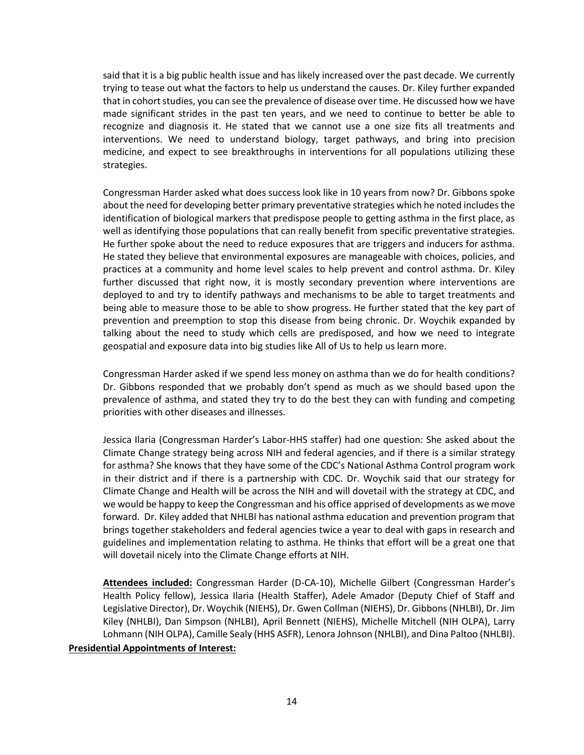said that it is a big public health issue and has likely increased over the past decade. We currently made significant strides in the past ten years, and we need to continue to better be able to trying to tease out what the factors to help us understand the causes. Dr. Kiley further expanded that in cohort studies, you can see the prevalence of disease over time. He discussed how we have recognize and diagnosis it. He stated that we cannot use a one size fits all treatments and interventions. We need to understand biology, target pathways, and bring into precision medicine, and expect to see breakthroughs in interventions for all populations utilizing these strategies.

 practices at a community and home level scales to help prevent and control asthma. Dr. Kiley deployed to and try to identify pathways and mechanisms to be able to target treatments and geospatial and exposure data into big studies like All of Us to help us learn more. Congressman Harder asked what does success look like in 10 years from now? Dr. Gibbons spoke about the need for developing better primary preventative strategies which he noted includes the identification of biological markers that predispose people to getting asthma in the first place, as well as identifying those populations that can really benefit from specific preventative strategies. He further spoke about the need to reduce exposures that are triggers and inducers for asthma. He stated they believe that environmental exposures are manageable with choices, policies, and further discussed that right now, it is mostly secondary prevention where interventions are being able to measure those to be able to show progress. He further stated that the key part of prevention and preemption to stop this disease from being chronic. Dr. Woychik expanded by talking about the need to study which cells are predisposed, and how we need to integrate

 Congressman Harder asked if we spend less money on asthma than we do for health conditions? Dr. Gibbons responded that we probably don't spend as much as we should based upon the prevalence of asthma, and stated they try to do the best they can with funding and competing priorities with other diseases and illnesses.

 for asthma? She knows that they have some of the CDC's National Asthma Control program work we would be happy to keep the Congressman and his office apprised of developments as we move forward. Dr. Kiley added that NHLBI has national asthma education and prevention program that guidelines and implementation relating to asthma. He thinks that effort will be a great one that will dovetail nicely into the Climate Change efforts at NIH. Jessica Ilaria (Congressman Harder's Labor-HHS staffer) had one question: She asked about the Climate Change strategy being across NIH and federal agencies, and if there is a similar strategy in their district and if there is a partnership with CDC. Dr. Woychik said that our strategy for Climate Change and Health will be across the NIH and will dovetail with the strategy at CDC, and brings together stakeholders and federal agencies twice a year to deal with gaps in research and

 Kiley (NHLBI), Dan Simpson (NHLBI), April Bennett (NIEHS), Michelle Mitchell (NIH OLPA), Larry **Attendees included:** Congressman Harder (D-CA-10), Michelle Gilbert (Congressman Harder's Health Policy fellow), Jessica Ilaria (Health Staffer), Adele Amador (Deputy Chief of Staff and Legislative Director), Dr. Woychik (NIEHS), Dr. Gwen Collman (NIEHS), Dr. Gibbons (NHLBI), Dr. Jim Lohmann (NIH OLPA), Camille Sealy (HHS ASFR), Lenora Johnson (NHLBI), and Dina Paltoo (NHLBI). **Presidential Appointments of Interest:**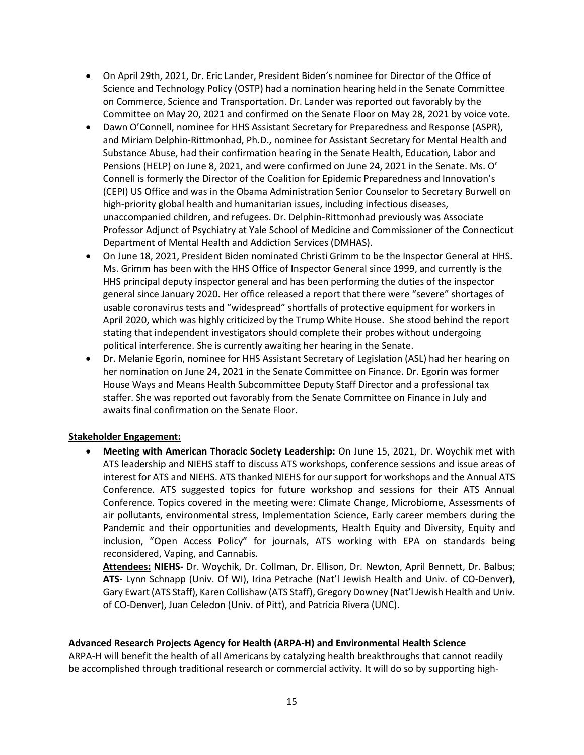- • On April 29th, 2021, Dr. Eric Lander, President Biden's nominee for Director of the Office of on Commerce, Science and Transportation. Dr. Lander was reported out favorably by the Committee on May 20, 2021 and confirmed on the Senate Floor on May 28, 2021 by voice vote. Science and Technology Policy (OSTP) had a nomination hearing held in the Senate Committee
- Pensions (HELP) on June 8, 2021, and were confirmed on June 24, 2021 in the Senate. Ms. O' (CEPI) US Office and was in the Obama Administration Senior Counselor to Secretary Burwell on unaccompanied children, and refugees. Dr. Delphin-Rittmonhad previously was Associate • Dawn O'Connell, nominee for HHS Assistant Secretary for Preparedness and Response (ASPR), and Miriam Delphin-Rittmonhad, Ph.D., nominee for Assistant Secretary for Mental Health and Substance Abuse, had their confirmation hearing in the Senate Health, Education, Labor and Connell is formerly the Director of the Coalition for Epidemic Preparedness and Innovation's high-priority global health and humanitarian issues, including infectious diseases, Professor Adjunct of Psychiatry at Yale School of Medicine and Commissioner of the Connecticut Department of Mental Health and Addiction Services (DMHAS).
- usable coronavirus tests and "widespread" shortfalls of protective equipment for workers in April 2020, which was highly criticized by the Trump White House. She stood behind the report • On June 18, 2021, President Biden nominated Christi Grimm to be the Inspector General at HHS. Ms. Grimm has been with the HHS Office of Inspector General since 1999, and currently is the HHS principal deputy inspector general and has been performing the duties of the inspector general since January 2020. Her office released a report that there were "severe" shortages of stating that independent investigators should complete their probes without undergoing political interference. She is currently awaiting her hearing in the Senate.
- House Ways and Means Health Subcommittee Deputy Staff Director and a professional tax staffer. She was reported out favorably from the Senate Committee on Finance in July and • Dr. Melanie Egorin, nominee for HHS Assistant Secretary of Legislation (ASL) had her hearing on her nomination on June 24, 2021 in the Senate Committee on Finance. Dr. Egorin was former awaits final confirmation on the Senate Floor.

#### **Stakeholder Engagement:**

 ATS leadership and NIEHS staff to discuss ATS workshops, conference sessions and issue areas of interest for ATS and NIEHS. ATS thanked NIEHS for our support for workshops and the Annual ATS Conference. Topics covered in the meeting were: Climate Change, Microbiome, Assessments of Pandemic and their opportunities and developments, Health Equity and Diversity, Equity and • **Meeting with American Thoracic Society Leadership:** On June 15, 2021, Dr. Woychik met with Conference. ATS suggested topics for future workshop and sessions for their ATS Annual air pollutants, environmental stress, Implementation Science, Early career members during the inclusion, "Open Access Policy" for journals, ATS working with EPA on standards being reconsidered, Vaping, and Cannabis.

 **Attendees: NIEHS-** Dr. Woychik, Dr. Collman, Dr. Ellison, Dr. Newton, April Bennett, Dr. Balbus; Gary Ewart (ATS Staff), Karen Collishaw (ATS Staff), Gregory Downey (Nat'l Jewish Health and Univ. **ATS-** Lynn Schnapp (Univ. Of WI), Irina Petrache (Nat'l Jewish Health and Univ. of CO-Denver), of CO-Denver), Juan Celedon (Univ. of Pitt), and Patricia Rivera (UNC).

#### **Advanced Research Projects Agency for Health (ARPA-H) and Environmental Health Science**

ARPA-H will benefit the health of all Americans by catalyzing health breakthroughs that cannot readily be accomplished through traditional research or commercial activity. It will do so by supporting high-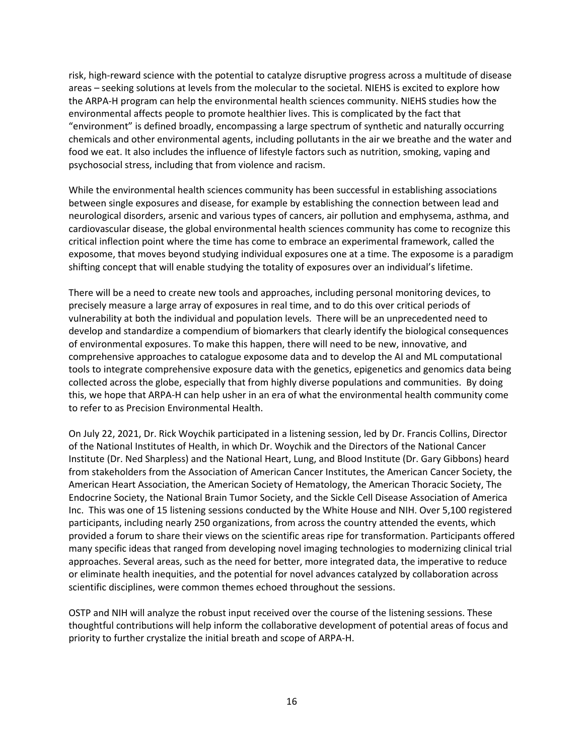risk, high-reward science with the potential to catalyze disruptive progress across a multitude of disease the ARPA-H program can help the environmental health sciences community. NIEHS studies how the environmental affects people to promote healthier lives. This is complicated by the fact that chemicals and other environmental agents, including pollutants in the air we breathe and the water and food we eat. It also includes the influence of lifestyle factors such as nutrition, smoking, vaping and psychosocial stress, including that from violence and racism. areas – seeking solutions at levels from the molecular to the societal. NIEHS is excited to explore how "environment" is defined broadly, encompassing a large spectrum of synthetic and naturally occurring

psychosocial stress, including that from violence and racism.<br>While the environmental health sciences community has been successful in establishing associations cardiovascular disease, the global environmental health sciences community has come to recognize this exposome, that moves beyond studying individual exposures one at a time. The exposome is a paradigm shifting concept that will enable studying the totality of exposures over an individual's lifetime. between single exposures and disease, for example by establishing the connection between lead and neurological disorders, arsenic and various types of cancers, air pollution and emphysema, asthma, and critical inflection point where the time has come to embrace an experimental framework, called the

There will be a need to create new tools and approaches, including personal monitoring devices, to precisely measure a large array of exposures in real time, and to do this over critical periods of vulnerability at both the individual and population levels. There will be an unprecedented need to develop and standardize a compendium of biomarkers that clearly identify the biological consequences of environmental exposures. To make this happen, there will need to be new, innovative, and comprehensive approaches to catalogue exposome data and to develop the AI and ML computational tools to integrate comprehensive exposure data with the genetics, epigenetics and genomics data being collected across the globe, especially that from highly diverse populations and communities. By doing this, we hope that ARPA-H can help usher in an era of what the environmental health community come to refer to as Precision Environmental Health.

 On July 22, 2021, Dr. Rick Woychik participated in a listening session, led by Dr. Francis Collins, Director of the National Institutes of Health, in which Dr. Woychik and the Directors of the National Cancer from stakeholders from the Association of American Cancer Institutes, the American Cancer Society, the Inc. This was one of 15 listening sessions conducted by the White House and NIH. Over 5,100 registered participants, including nearly 250 organizations, from across the country attended the events, which provided a forum to share their views on the scientific areas ripe for transformation. Participants offered many specific ideas that ranged from developing novel imaging technologies to modernizing clinical trial Institute (Dr. Ned Sharpless) and the National Heart, Lung, and Blood Institute (Dr. Gary Gibbons) heard American Heart Association, the American Society of Hematology, the American Thoracic Society, The Endocrine Society, the National Brain Tumor Society, and the Sickle Cell Disease Association of America approaches. Several areas, such as the need for better, more integrated data, the imperative to reduce or eliminate health inequities, and the potential for novel advances catalyzed by collaboration across scientific disciplines, were common themes echoed throughout the sessions.

OSTP and NIH will analyze the robust input received over the course of the listening sessions. These thoughtful contributions will help inform the collaborative development of potential areas of focus and priority to further crystalize the initial breath and scope of ARPA-H.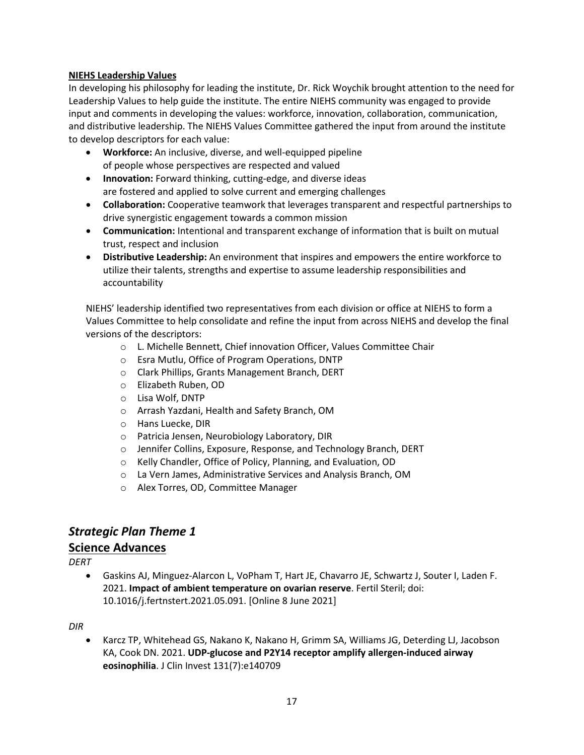### **NIEHS Leadership Values**

In developing his philosophy for leading the institute, Dr. Rick Woychik brought attention to the need for Leadership Values to help guide the institute. The entire NIEHS community was engaged to provide input and comments in developing the values: workforce, innovation, collaboration, communication, and distributive leadership. The NIEHS Values Committee gathered the input from around the institute to develop descriptors for each value:

- **Workforce:** An inclusive, diverse, and well-equipped pipeline of people whose perspectives are respected and valued
- are fostered and applied to solve current and emerging challenges • **Innovation:** Forward thinking, cutting-edge, and diverse ideas
- **Collaboration:** Cooperative teamwork that leverages transparent and respectful partnerships to drive synergistic engagement towards a common mission
- • **Communication:** Intentional and transparent exchange of information that is built on mutual trust, respect and inclusion
- • **Distributive Leadership:** An environment that inspires and empowers the entire workforce to utilize their talents, strengths and expertise to assume leadership responsibilities and accountability

NIEHS' leadership identified two representatives from each division or office at NIEHS to form a Values Committee to help consolidate and refine the input from across NIEHS and develop the final versions of the descriptors:

- o L. Michelle Bennett, Chief innovation Officer, Values Committee Chair
- o Esra Mutlu, Office of Program Operations, DNTP
- o Clark Phillips, Grants Management Branch, DERT
- o Elizabeth Ruben, OD
- o Lisa Wolf, DNTP
- o Arrash Yazdani, Health and Safety Branch, OM
- o Hans Luecke, DIR
- o Patricia Jensen, Neurobiology Laboratory, DIR
- o Jennifer Collins, Exposure, Response, and Technology Branch, DERT
- o Kelly Chandler, Office of Policy, Planning, and Evaluation, OD
- o La Vern James, Administrative Services and Analysis Branch, OM
- o Alex Torres, OD, Committee Manager

## *Strategic Plan Theme 1*

### **Science Advances**

*DERT* 

 • Gaskins AJ, Minguez-Alarcon L, VoPham T, Hart JE, Chavarro JE, Schwartz J, Souter I, Laden F. 2021. **Impact of ambient temperature on ovarian reserve**. Fertil Steril; doi: 10.1016/j.fertnstert.2021.05.091. [Online 8 June 2021]

*DIR* 

 • Karcz TP, Whitehead GS, Nakano K, Nakano H, Grimm SA, Williams JG, Deterding LJ, Jacobson KA, Cook DN. 2021. **UDP-glucose and P2Y14 receptor amplify allergen-induced airway eosinophilia**. J Clin Invest 131(7):e140709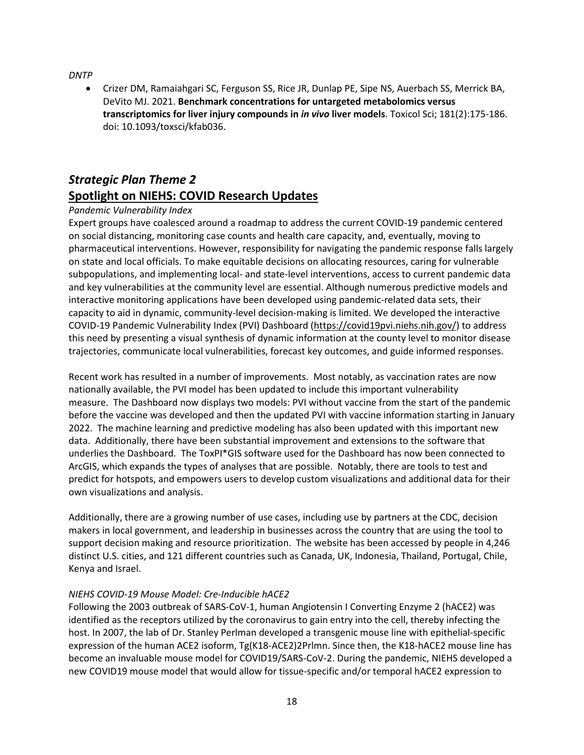*DNTP* 

 DeVito MJ. 2021. **Benchmark concentrations for untargeted metabolomics versus**  • Crizer DM, Ramaiahgari SC, Ferguson SS, Rice JR, Dunlap PE, Sipe NS, Auerbach SS, Merrick BA, **transcriptomics for liver injury compounds in** *in vivo* **liver models**. Toxicol Sci; 181(2):175-186. doi: 10.1093/toxsci/kfab036.

# *Strategic Plan Theme 2*  **Spotlight on NIEHS: COVID Research Updates**

### *Pandemic Vulnerability Index*

 on social distancing, monitoring case counts and health care capacity, and, eventually, moving to on state and local officials. To make equitable decisions on allocating resources, caring for vulnerable and key vulnerabilities at the community level are essential. Although numerous predictive models and trajectories, communicate local vulnerabilities, forecast key outcomes, and guide informed responses. Expert groups have coalesced around a roadmap to address the current COVID-19 pandemic centered pharmaceutical interventions. However, responsibility for navigating the pandemic response falls largely subpopulations, and implementing local- and state-level interventions, access to current pandemic data interactive monitoring applications have been developed using pandemic-related data sets, their capacity to aid in dynamic, community-level decision-making is limited. We developed the interactive COVID-19 Pandemic Vulnerability Index (PVI) Dashboard [\(https://covid19pvi.niehs.nih.gov/\)](https://covid19pvi.niehs.nih.gov/) to address this need by presenting a visual synthesis of dynamic information at the county level to monitor disease

 Recent work has resulted in a number of improvements. Most notably, as vaccination rates are now measure. The Dashboard now displays two models: PVI without vaccine from the start of the pandemic before the vaccine was developed and then the updated PVI with vaccine information starting in January 2022. The machine learning and predictive modeling has also been updated with this important new data. Additionally, there have been substantial improvement and extensions to the software that underlies the Dashboard. The ToxPI\*GIS software used for the Dashboard has now been connected to ArcGIS, which expands the types of analyses that are possible. Notably, there are tools to test and predict for hotspots, and empowers users to develop custom visualizations and additional data for their nationally available, the PVI model has been updated to include this important vulnerability own visualizations and analysis.

 Additionally, there are a growing number of use cases, including use by partners at the CDC, decision makers in local government, and leadership in businesses across the country that are using the tool to support decision making and resource prioritization. The website has been accessed by people in 4,246 distinct U.S. cities, and 121 different countries such as Canada, UK, Indonesia, Thailand, Portugal, Chile, Kenya and Israel.

### *NIEHS COVID-19 Mouse Model: Cre-Inducible hACE2*

 Following the 2003 outbreak of SARS-CoV-1, human Angiotensin I Converting Enzyme 2 (hACE2) was identified as the receptors utilized by the coronavirus to gain entry into the cell, thereby infecting the host. In 2007, the lab of Dr. Stanley Perlman developed a transgenic mouse line with epithelial-specific new COVID19 mouse model that would allow for tissue-specific and/or temporal hACE2 expression to expression of the human ACE2 isoform, Tg(K18-ACE2)2Prlmn. Since then, the K18-hACE2 mouse line has become an invaluable mouse model for COVID19/SARS-CoV-2. During the pandemic, NIEHS developed a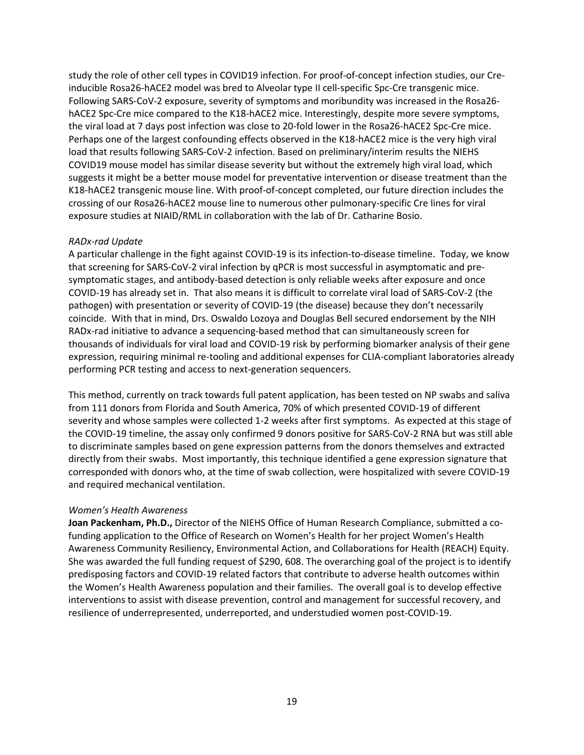inducible Rosa26-hACE2 model was bred to Alveolar type II cell-specific Spc-Cre transgenic mice. Perhaps one of the largest confounding effects observed in the K18-hACE2 mice is the very high viral COVID19 mouse model has similar disease severity but without the extremely high viral load, which K18-hACE2 transgenic mouse line. With proof-of-concept completed, our future direction includes the crossing of our Rosa26-hACE2 mouse line to numerous other pulmonary-specific Cre lines for viral study the role of other cell types in COVID19 infection. For proof-of-concept infection studies, our Cre-Following SARS-CoV-2 exposure, severity of symptoms and moribundity was increased in the Rosa26 hACE2 Spc-Cre mice compared to the K18-hACE2 mice. Interestingly, despite more severe symptoms, the viral load at 7 days post infection was close to 20-fold lower in the Rosa26-hACE2 Spc-Cre mice. load that results following SARS-CoV-2 infection. Based on preliminary/interim results the NIEHS suggests it might be a better mouse model for preventative intervention or disease treatment than the exposure studies at NIAID/RML in collaboration with the lab of Dr. Catharine Bosio.

#### *RADx-rad Update*

 A particular challenge in the fight against COVID-19 is its infection-to-disease timeline. Today, we know symptomatic stages, and antibody-based detection is only reliable weeks after exposure and once COVID-19 has already set in. That also means it is difficult to correlate viral load of SARS-CoV-2 (the coincide. With that in mind, Drs. Oswaldo Lozoya and Douglas Bell secured endorsement by the NIH RADx-rad initiative to advance a sequencing-based method that can simultaneously screen for that screening for SARS-CoV-2 viral infection by qPCR is most successful in asymptomatic and prepathogen) with presentation or severity of COVID-19 (the disease) because they don't necessarily thousands of individuals for viral load and COVID-19 risk by performing biomarker analysis of their gene expression, requiring minimal re-tooling and additional expenses for CLIA-compliant laboratories already performing PCR testing and access to next-generation sequencers.

 This method, currently on track towards full patent application, has been tested on NP swabs and saliva severity and whose samples were collected 1-2 weeks after first symptoms. As expected at this stage of the COVID-19 timeline, the assay only confirmed 9 donors positive for SARS-CoV-2 RNA but was still able directly from their swabs. Most importantly, this technique identified a gene expression signature that corresponded with donors who, at the time of swab collection, were hospitalized with severe COVID-19 from 111 donors from Florida and South America, 70% of which presented COVID-19 of different to discriminate samples based on gene expression patterns from the donors themselves and extracted and required mechanical ventilation.

#### *Women's Health Awareness*

 **Joan Packenham, Ph.D.,** Director of the NIEHS Office of Human Research Compliance, submitted a co- funding application to the Office of Research on Women's Health for her project Women's Health She was awarded the full funding request of \$290, 608. The overarching goal of the project is to identify the Women's Health Awareness population and their families. The overall goal is to develop effective resilience of underrepresented, underreported, and understudied women post-COVID-19. Awareness Community Resiliency, Environmental Action, and Collaborations for Health (REACH) Equity. predisposing factors and COVID-19 related factors that contribute to adverse health outcomes within interventions to assist with disease prevention, control and management for successful recovery, and resilience of underrepresented, underreported, and understudied women post-COVID-19.<br> $19$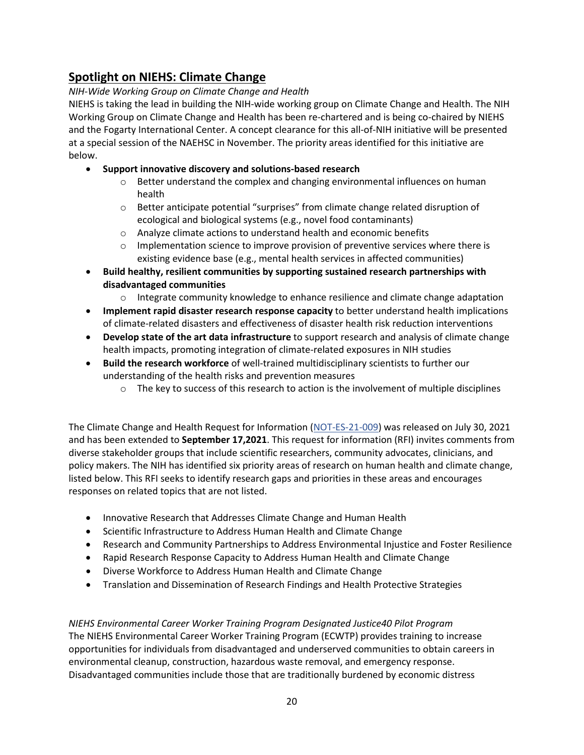# **Spotlight on NIEHS: Climate Change**

### *NIH-Wide Working Group on Climate Change and Health*

 Working Group on Climate Change and Health has been re-chartered and is being co-chaired by NIEHS and the Fogarty International Center. A concept clearance for this all-of-NIH initiative will be presented at a special session of the NAEHSC in November. The priority areas identified for this initiative are NIEHS is taking the lead in building the NIH-wide working group on Climate Change and Health. The NIH below.

### • **Support innovative discovery and solutions-based research**

- o Better understand the complex and changing environmental influences on human health
- o Better anticipate potential "surprises" from climate change related disruption of ecological and biological systems (e.g., novel food contaminants)
- o Analyze climate actions to understand health and economic benefits
- $\circ$  Implementation science to improve provision of preventive services where there is existing evidence base (e.g., mental health services in affected communities)
- **Build healthy, resilient communities by supporting sustained research partnerships with disadvantaged communities** 
	- $\circ$  Integrate community knowledge to enhance resilience and climate change adaptation
- **Implement rapid disaster research response capacity** to better understand health implications of climate-related disasters and effectiveness of disaster health risk reduction interventions
- **Develop state of the art data infrastructure** to support research and analysis of climate change health impacts, promoting integration of climate-related exposures in NIH studies
- **Build the research workforce** of well-trained multidisciplinary scientists to further our understanding of the health risks and prevention measures
	- $\circ$  The key to success of this research to action is the involvement of multiple disciplines

 policy makers. The NIH has identified six priority areas of research on human health and climate change, The Climate Change and Health Request for Information [\(NOT-ES-21-009\)](https://grants.nih.gov/grants/guide/notice-files/NOT-ES-21-009.html) was released on July 30, 2021 and has been extended to **September 17,2021**. This request for information (RFI) invites comments from diverse stakeholder groups that include scientific researchers, community advocates, clinicians, and listed below. This RFI seeks to identify research gaps and priorities in these areas and encourages responses on related topics that are not listed.

- Innovative Research that Addresses Climate Change and Human Health
- Scientific Infrastructure to Address Human Health and Climate Change
- Research and Community Partnerships to Address Environmental Injustice and Foster Resilience
- Rapid Research Response Capacity to Address Human Health and Climate Change
- Diverse Workforce to Address Human Health and Climate Change
- Translation and Dissemination of Research Findings and Health Protective Strategies

 *NIEHS Environmental Career Worker Training Program Designated Justice40 Pilot Program*  opportunities for individuals from disadvantaged and underserved communities to obtain careers in environmental cleanup, construction, hazardous waste removal, and emergency response. The NIEHS Environmental Career Worker Training Program (ECWTP) provides training to increase Disadvantaged communities include those that are traditionally burdened by economic distress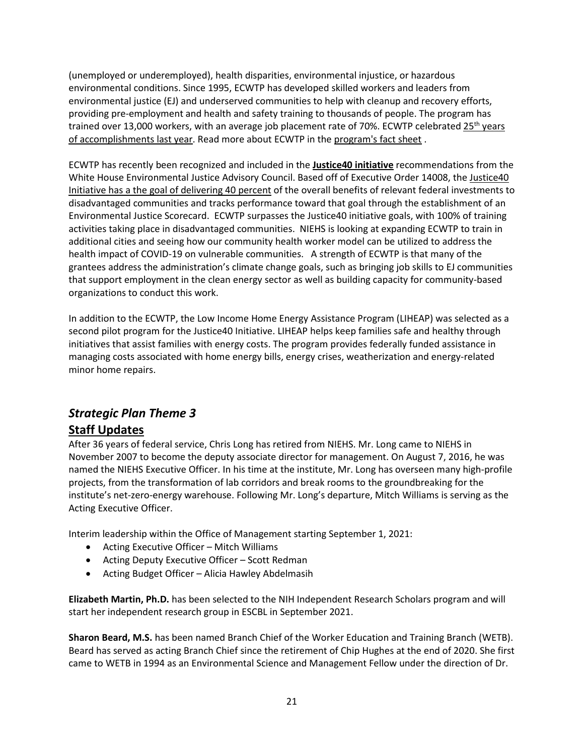(unemployed or underemployed), health disparities, environmental injustice, or hazardous providing pre-employment and health and safety training to thousands of people. The program has [of accomplishments last year.](https://tools.niehs.nih.gov/wetp/index.cfm?id=2595) Read more about ECWTP in the program's fact sheet. environmental conditions. Since 1995, ECWTP has developed skilled workers and leaders from environmental justice (EJ) and underserved communities to help with cleanup and recovery efforts, trained over 13,000 workers, with an average job placement rate of 70%. ECWTP celebrated 25<sup>th</sup> years

 ECWTP has recently been recognized and included in the **[Justice40 initiative](https://www.whitehouse.gov/wp-content/uploads/2021/07/M-21-28.pdf)** recommendations from the White House Environmental Justice Advisory Council. Based off of Executive Order 14008, the Justice40 [Initiative has a the goal of delivering 40 percent](https://www.whitehouse.gov/briefing-room/statements-releases/2021/01/27/fact-sheet-president-biden-takes-executive-actions-to-tackle-the-climate-crisis-at-home-and-abroad-create-jobs-and-restore-scientific-integrity-across-federal-government/) of the overall benefits of relevant federal investments to disadvantaged communities and tracks performance toward that goal through the establishment of an Environmental Justice Scorecard. ECWTP surpasses the Justice40 initiative goals, with 100% of training activities taking place in disadvantaged communities. NIEHS is looking at expanding ECWTP to train in additional cities and seeing how our community health worker model can be utilized to address the health impact of COVID-19 on vulnerable communities. A strength of ECWTP is that many of the grantees address the administration's climate change goals, such as bringing job skills to EJ communities organizations to conduct this work. that support employment in the clean energy sector as well as building capacity for community-based

 second pilot program for the Justice40 Initiative. LIHEAP helps keep families safe and healthy through initiatives that assist families with energy costs. The program provides federally funded assistance in In addition to the ECWTP, the Low Income Home Energy Assistance Program (LIHEAP) was selected as a managing costs associated with home energy bills, energy crises, weatherization and energy-related minor home repairs.

# *Strategic Plan Theme 3*  **Staff Updates**

 After 36 years of federal service, Chris Long has retired from NIEHS. Mr. Long came to NIEHS in institute's net-zero-energy warehouse. Following Mr. Long's departure, Mitch Williams is serving as the November 2007 to become the deputy associate director for management. On August 7, 2016, he was named the NIEHS Executive Officer. In his time at the institute, Mr. Long has overseen many high-profile projects, from the transformation of lab corridors and break rooms to the groundbreaking for the Acting Executive Officer.

Interim leadership within the Office of Management starting September 1, 2021:

- Acting Executive Officer Mitch Williams
- Acting Deputy Executive Officer Scott Redman
- Acting Budget Officer Alicia Hawley Abdelmasih

 **Elizabeth Martin, Ph.D.** has been selected to the NIH Independent Research Scholars program and will start her independent research group in ESCBL in September 2021.

 **Sharon Beard, M.S.** has been named Branch Chief of the Worker Education and Training Branch (WETB). Beard has served as acting Branch Chief since the retirement of Chip Hughes at the end of 2020. She first came to WETB in 1994 as an Environmental Science and Management Fellow under the direction of Dr.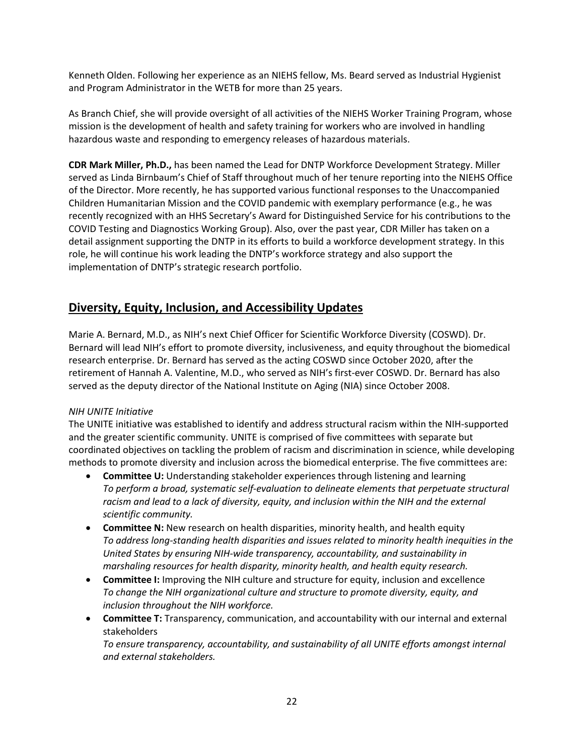Kenneth Olden. Following her experience as an NIEHS fellow, Ms. Beard served as Industrial Hygienist and Program Administrator in the WETB for more than 25 years.

As Branch Chief, she will provide oversight of all activities of the NIEHS Worker Training Program, whose mission is the development of health and safety training for workers who are involved in handling hazardous waste and responding to emergency releases of hazardous materials.

 **CDR Mark Miller, Ph.D.,** has been named the Lead for DNTP Workforce Development Strategy. Miller served as Linda Birnbaum's Chief of Staff throughout much of her tenure reporting into the NIEHS Office COVID Testing and Diagnostics Working Group). Also, over the past year, CDR Miller has taken on a role, he will continue his work leading the DNTP's workforce strategy and also support the implementation of DNTP's strategic research portfolio. of the Director. More recently, he has supported various functional responses to the Unaccompanied Children Humanitarian Mission and the COVID pandemic with exemplary performance (e.g., he was recently recognized with an HHS Secretary's Award for Distinguished Service for his contributions to the detail assignment supporting the DNTP in its efforts to build a workforce development strategy. In this

# **Diversity, Equity, Inclusion, and Accessibility Updates**

 Marie A. Bernard, M.D., as NIH's next Chief Officer for Scientific Workforce Diversity (COSWD). Dr. retirement of Hannah A. Valentine, M.D., who served as NIH's first-ever COSWD. Dr. Bernard has also Bernard will lead NIH's effort to promote diversity, inclusiveness, and equity throughout the biomedical research enterprise. Dr. Bernard has served as the acting COSWD since October 2020, after the served as the deputy director of the National Institute on Aging (NIA) since October 2008.

#### *NIH UNITE Initiative*

 The UNITE initiative was established to identify and address structural racism within the NIH-supported coordinated objectives on tackling the problem of racism and discrimination in science, while developing and the greater scientific community. UNITE is comprised of five committees with separate but methods to promote diversity and inclusion across the biomedical enterprise. The five committees are:

- **Committee U:** Understanding stakeholder experiences through listening and learning *To perform a broad, systematic self-evaluation to delineate elements that perpetuate structural racism and lead to a lack of diversity, equity, and inclusion within the NIH and the external scientific community.*
- **Committee N:** New research on health disparities, minority health, and health equity *To address long-standing health disparities and issues related to minority health inequities in the United States by ensuring NIH-wide transparency, accountability, and sustainability in marshaling resources for health disparity, minority health, and health equity research.*
- **Committee I:** Improving the NIH culture and structure for equity, inclusion and excellence *To change the NIH organizational culture and structure to promote diversity, equity, and inclusion throughout the NIH workforce.*
- **Committee T:** Transparency, communication, and accountability with our internal and external stakeholders

*To ensure transparency, accountability, and sustainability of all UNITE efforts amongst internal and external stakeholders.*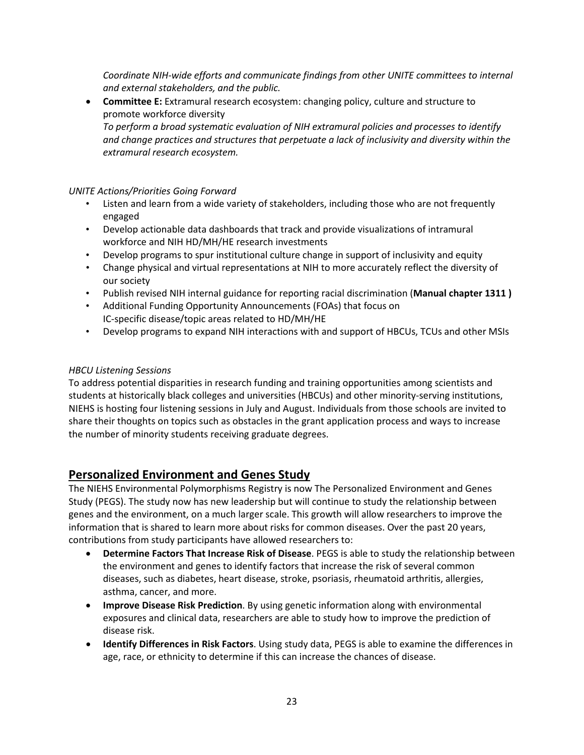*Coordinate NIH-wide efforts and communicate findings from other UNITE committees to internal and external stakeholders, and the public.* 

 • **Committee E:** Extramural research ecosystem: changing policy, culture and structure to promote workforce diversity *To perform a broad systematic evaluation of NIH extramural policies and processes to identify and change practices and structures that perpetuate a lack of inclusivity and diversity within the extramural research ecosystem.* 

### *UNITE Actions/Priorities Going Forward*

- • Listen and learn from a wide variety of stakeholders, including those who are not frequently engaged
- Develop actionable data dashboards that track and provide visualizations of intramural workforce and NIH HD/MH/HE research investments
- Develop programs to spur institutional culture change in support of inclusivity and equity
- Change physical and virtual representations at NIH to more accurately reflect the diversity of our society
- Publish revised NIH internal guidance for reporting racial discrimination (**Manual chapter 1311 )**
- IC-specific disease/topic areas related to HD/MH/HE • Additional Funding Opportunity Announcements (FOAs) that focus on
- Develop programs to expand NIH interactions with and support of HBCUs, TCUs and other MSIs

#### *HBCU Listening Sessions*

 NIEHS is hosting four listening sessions in July and August. Individuals from those schools are invited to share their thoughts on topics such as obstacles in the grant application process and ways to increase To address potential disparities in research funding and training opportunities among scientists and students at historically black colleges and universities (HBCUs) and other minority-serving institutions, the number of minority students receiving graduate degrees.

## **Personalized Environment and Genes Study**

 The NIEHS Environmental Polymorphisms Registry is now The Personalized Environment and Genes information that is shared to learn more about risks for common diseases. Over the past 20 years, Study (PEGS). The study now has new leadership but will continue to study the relationship between genes and the environment, on a much larger scale. This growth will allow researchers to improve the contributions from study participants have allowed researchers to:

- **Determine Factors That Increase Risk of Disease**. PEGS is able to study the relationship between the environment and genes to identify factors that increase the risk of several common diseases, such as diabetes, heart disease, stroke, psoriasis, rheumatoid arthritis, allergies, asthma, cancer, and more.
- exposures and clinical data, researchers are able to study how to improve the prediction of • **Improve Disease Risk Prediction**. By using genetic information along with environmental disease risk.
- age, race, or ethnicity to determine if this can increase the chances of disease. • **Identify Differences in Risk Factors**. Using study data, PEGS is able to examine the differences in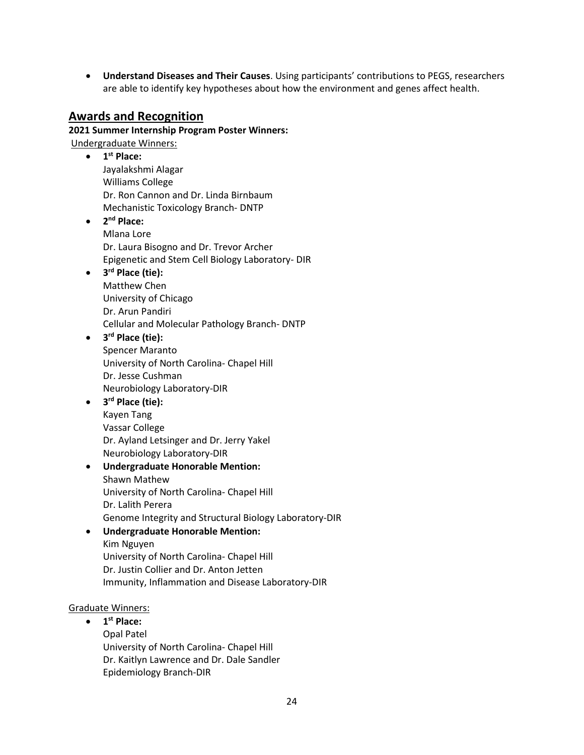• **Understand Diseases and Their Causes**. Using participants' contributions to PEGS, researchers are able to identify key hypotheses about how the environment and genes affect health.

## **Awards and Recognition**

## **2021 Summer Internship Program Poster Winners:**

Undergraduate Winners:

- Dr. Ron Cannon and Dr. Linda Birnbaum Mechanistic Toxicology Branch- DNTP • **1st Place:**  Jayalakshmi Alagar Williams College
- Epigenetic and Stem Cell Biology Laboratory- DIR • **2nd Place:**  Mlana Lore Dr. Laura Bisogno and Dr. Trevor Archer
- Cellular and Molecular Pathology Branch- DNTP • **3rd Place (tie):**  Matthew Chen University of Chicago Dr. Arun Pandiri

### • **3rd Place (tie):**

 University of North Carolina- Chapel Hill Spencer Maranto Dr. Jesse Cushman Neurobiology Laboratory-DIR

• **3rd Place (tie):** 

Kayen Tang Vassar College Dr. Ayland Letsinger and Dr. Jerry Yakel Neurobiology Laboratory-DIR

 University of North Carolina- Chapel Hill • **Undergraduate Honorable Mention:**  Shawn Mathew Dr. Lalith Perera

Genome Integrity and Structural Biology Laboratory-DIR

- **Undergraduate Honorable Mention:** 
	- University of North Carolina- Chapel Hill Kim Nguyen Dr. Justin Collier and Dr. Anton Jetten Immunity, Inflammation and Disease Laboratory-DIR

## Graduate Winners:

 • **1st Place:**  University of North Carolina- Chapel Hill Opal Patel Dr. Kaitlyn Lawrence and Dr. Dale Sandler Epidemiology Branch-DIR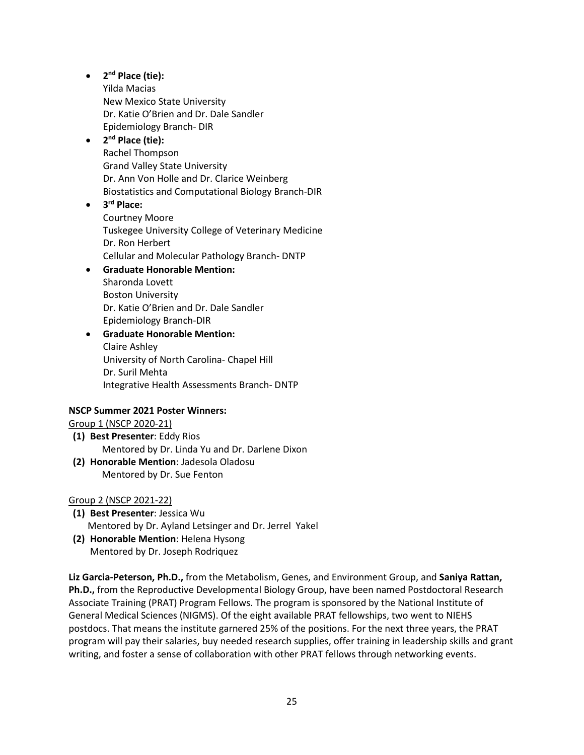### • **2nd Place (tie):**

 Dr. Katie O'Brien and Dr. Dale Sandler Epidemiology Branch- DIR Yilda Macias New Mexico State University

### • **2nd Place (tie):**

 Dr. Ann Von Holle and Dr. Clarice Weinberg Rachel Thompson Grand Valley State University Biostatistics and Computational Biology Branch-DIR

 Cellular and Molecular Pathology Branch- DNTP • **3rd Place:**  Courtney Moore Tuskegee University College of Veterinary Medicine Dr. Ron Herbert

## • **Graduate Honorable Mention:**

 Dr. Katie O'Brien and Dr. Dale Sandler Sharonda Lovett Boston University Epidemiology Branch-DIR

### University of North Carolina- Chapel Hill Integrative Health Assessments Branch- DNTP • **Graduate Honorable Mention:**  Claire Ashley Dr. Suril Mehta

## **NSCP Summer 2021 Poster Winners:**

Group 1 (NSCP 2020-21)

- **(1) Best Presenter**: Eddy Rios Mentored by Dr. Linda Yu and Dr. Darlene Dixon
- **(2) Honorable Mention**: Jadesola Oladosu Mentored by Dr. Sue Fenton

### Group 2 (NSCP 2021-22)

- **(1) Best Presenter**: Jessica Wu Mentored by Dr. Ayland Letsinger and Dr. Jerrel Yakel
- **(2) Honorable Mention**: Helena Hysong Mentored by Dr. Joseph Rodriquez

 **Liz Garcia-Peterson, Ph.D.,** from the Metabolism, Genes, and Environment Group, and **Saniya Rattan, Ph.D.,** from the Reproductive Developmental Biology Group, have been named Postdoctoral Research Associate Training (PRAT) Program Fellows. The program is sponsored by the National Institute of General Medical Sciences (NIGMS). Of the eight available PRAT fellowships, two went to NIEHS postdocs. That means the institute garnered 25% of the positions. For the next three years, the PRAT writing, and foster a sense of collaboration with other PRAT fellows through networking events. program will pay their salaries, buy needed research supplies, offer training in leadership skills and grant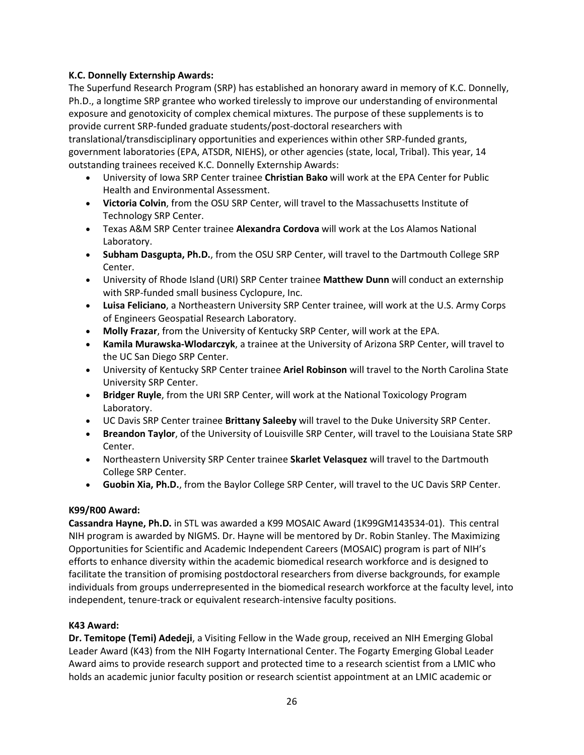### **K.C. Donnelly Externship Awards:**

 The Superfund Research Program (SRP) has established an honorary award in memory of K.C. Donnelly, Ph.D., a longtime SRP grantee who worked tirelessly to improve our understanding of environmental exposure and genotoxicity of complex chemical mixtures. The purpose of these supplements is to provide current SRP-funded graduate students/post-doctoral researchers with

 translational/transdisciplinary opportunities and experiences within other SRP-funded grants, government laboratories (EPA, ATSDR, NIEHS), or other agencies (state, local, Tribal). This year, 14 outstanding trainees received K.C. Donnelly Externship Awards:

- University of Iowa SRP Center trainee **Christian Bako** will work at the EPA Center for Public Health and Environmental Assessment.
- **Victoria Colvin**, from the OSU SRP Center, will travel to the Massachusetts Institute of Technology SRP Center.
- Texas A&M SRP Center trainee **Alexandra Cordova** will work at the Los Alamos National Laboratory.
- **Subham Dasgupta, Ph.D.**, from the OSU SRP Center, will travel to the Dartmouth College SRP Center.
- • University of Rhode Island (URI) SRP Center trainee **Matthew Dunn** will conduct an externship with SRP-funded small business Cyclopure, Inc.
- • **Luisa Feliciano**, a Northeastern University SRP Center trainee, will work at the U.S. Army Corps of Engineers Geospatial Research Laboratory.
- **Molly Frazar**, from the University of Kentucky SRP Center, will work at the EPA.
- the UC San Diego SRP Center. • **Kamila Murawska-Wlodarczyk**, a trainee at the University of Arizona SRP Center, will travel to
- • University of Kentucky SRP Center trainee **Ariel Robinson** will travel to the North Carolina State University SRP Center.
- **Bridger Ruyle**, from the URI SRP Center, will work at the National Toxicology Program Laboratory.
- UC Davis SRP Center trainee **Brittany Saleeby** will travel to the Duke University SRP Center.
- **Breandon Taylor**, of the University of Louisville SRP Center, will travel to the Louisiana State SRP Center.
- Northeastern University SRP Center trainee **Skarlet Velasquez** will travel to the Dartmouth College SRP Center.
- **Guobin Xia, Ph.D.**, from the Baylor College SRP Center, will travel to the UC Davis SRP Center.

### **K99/R00 Award:**

 **Cassandra Hayne, Ph.D.** in STL was awarded a K99 MOSAIC Award (1K99GM143534-01). This central Opportunities for Scientific and Academic Independent Careers (MOSAIC) program is part of NIH's NIH program is awarded by NIGMS. Dr. Hayne will be mentored by Dr. Robin Stanley. The Maximizing efforts to enhance diversity within the academic biomedical research workforce and is designed to facilitate the transition of promising postdoctoral researchers from diverse backgrounds, for example individuals from groups underrepresented in the biomedical research workforce at the faculty level, into independent, tenure-track or equivalent research-intensive faculty positions.

### **K43 Award:**

 Award aims to provide research support and protected time to a research scientist from a LMIC who holds an academic junior faculty position or research scientist appointment at an LMIC academic or **Dr. Temitope (Temi) Adedeji**, a Visiting Fellow in the Wade group, received an NIH Emerging Global Leader Award (K43) from the NIH Fogarty International Center. The Fogarty Emerging Global Leader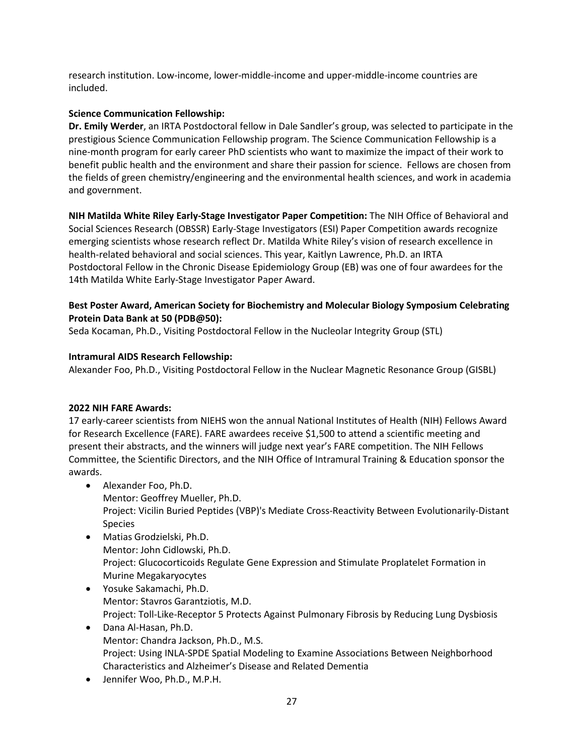research institution. Low-income, lower-middle-income and upper-middle-income countries are included.

### **Science Communication Fellowship:**

 nine-month program for early career PhD scientists who want to maximize the impact of their work to benefit public health and the environment and share their passion for science. Fellows are chosen from **Dr. Emily Werder**, an IRTA Postdoctoral fellow in Dale Sandler's group, was selected to participate in the prestigious Science Communication Fellowship program. The Science Communication Fellowship is a the fields of green chemistry/engineering and the environmental health sciences, and work in academia and government.

 Social Sciences Research (OBSSR) Early-Stage Investigators (ESI) Paper Competition awards recognize health-related behavioral and social sciences. This year, Kaitlyn Lawrence, Ph.D. an IRTA Postdoctoral Fellow in the Chronic Disease Epidemiology Group (EB) was one of four awardees for the 14th Matilda White Early-Stage Investigator Paper Award. **NIH Matilda White Riley Early-Stage Investigator Paper Competition:** The NIH Office of Behavioral and emerging scientists whose research reflect Dr. Matilda White Riley's vision of research excellence in

### **Protein Data Bank at 50 (PDB@50): Best Poster Award, American Society for Biochemistry and Molecular Biology Symposium Celebrating**

Seda Kocaman, Ph.D., Visiting Postdoctoral Fellow in the Nucleolar Integrity Group (STL)

### **Intramural AIDS Research Fellowship:**

Alexander Foo, Ph.D., Visiting Postdoctoral Fellow in the Nuclear Magnetic Resonance Group (GISBL)

### **2022 NIH FARE Awards:**

 present their abstracts, and the winners will judge next year's FARE competition. The NIH Fellows Committee, the Scientific Directors, and the NIH Office of Intramural Training & Education sponsor the 17 early-career scientists from NIEHS won the annual National Institutes of Health (NIH) Fellows Award for Research Excellence (FARE). FARE awardees receive \$1,500 to attend a scientific meeting and awards.

- Alexander Foo, Ph.D. Mentor: Geoffrey Mueller, Ph.D. Project: Vicilin Buried Peptides (VBP)'s Mediate Cross-Reactivity Between Evolutionarily-Distant Species
- Matias Grodzielski, Ph.D. Mentor: John Cidlowski, Ph.D. Project: Glucocorticoids Regulate Gene Expression and Stimulate Proplatelet Formation in Murine Megakaryocytes
- Yosuke Sakamachi, Ph.D. Mentor: Stavros Garantziotis, M.D. Project: Toll-Like-Receptor 5 Protects Against Pulmonary Fibrosis by Reducing Lung Dysbiosis
- Dana Al-Hasan, Ph.D. • Dana Al-Hasan, Ph.D. Mentor: Chandra Jackson, Ph.D., M.S. Project: Using INLA-SPDE Spatial Modeling to Examine Associations Between Neighborhood Characteristics and Alzheimer's Disease and Related Dementia
- Jennifer Woo, Ph.D., M.P.H. 27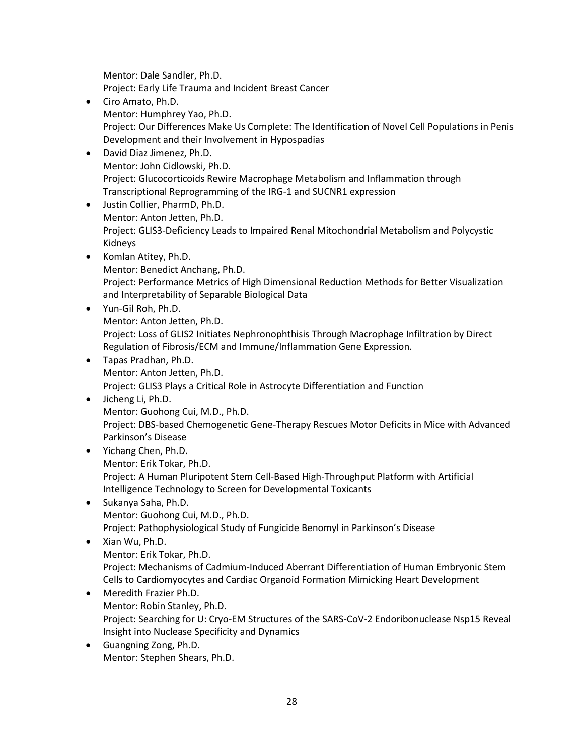Mentor: Dale Sandler, Ph.D.

Mentor: Dale Sandler, Ph.D.<br>Project: Early Life Trauma and Incident Breast Cancer

- Ciro Amato, Ph.D. Mentor: Humphrey Yao, Ph.D. • Ciro Amato, Ph.D.<br>Mentor: Humphrey Yao, Ph.D.<br>Project: Our Differences Make Us Complete: The Identification of Novel Cell Populations in Penis Development and their Involvement in Hypospadias
- Mentor: John Cidlowski, Ph.D. • David Diaz Jimenez, Ph.D. Project: Glucocorticoids Rewire Macrophage Metabolism and Inflammation through Transcriptional Reprogramming of the IRG-1 and SUCNR1 expression
- Justin Collier, PharmD, Ph.D. Mentor: Anton Jetten, Ph.D. Project: GLIS3-Deficiency Leads to Impaired Renal Mitochondrial Metabolism and Polycystic Kidneys
- Komlan Atitey, Ph.D. Mentor: Benedict Anchang, Ph.D. Project: Performance Metrics of High Dimensional Reduction Methods for Better Visualization and Interpretability of Separable Biological Data
- Yun-Gil Roh, Ph.D. Mentor: Anton Jetten, Ph.D. Project: Loss of GLIS2 Initiates Nephronophthisis Through Macrophage Infiltration by Direct Regulation of Fibrosis/ECM and Immune/Inflammation Gene Expression.
- Tapas Pradhan, Ph.D. Mentor: Anton Jetten, Ph.D. Project: GLIS3 Plays a Critical Role in Astrocyte Differentiation and Function
- Jicheng Li, Ph.D. Mentor: Guohong Cui, M.D., Ph.D. • Jicheng Li, Ph.D. Mentor: Guohong Cui, M.D., Ph.D. Project: DBS-based Chemogenetic Gene-Therapy Rescues Motor Deficits in Mice with Advanced Parkinson's Disease
- Yichang Chen, Ph.D. Mentor: Erik Tokar, Ph.D. Intelligence Technology to Screen for Developmental Toxicants Project: A Human Pluripotent Stem Cell-Based High-Throughput Platform with Artificial
- Sukanya Saha, Ph.D. Mentor: Guohong Cui, M.D., Ph.D. Project: Pathophysiological Study of Fungicide Benomyl in Parkinson's Disease

## • Xian Wu, Ph.D. Mentor: Erik Tokar, Ph.D. Project: Mechanisms of Cadmium-Induced Aberrant Differentiation of Human Embryonic Stem Cells to Cardiomyocytes and Cardiac Organoid Formation Mimicking Heart Development

- Meredith Frazier Ph.D. Mentor: Robin Stanley, Ph.D. Project: Searching for U: Cryo-EM Structures of the SARS-CoV-2 Endoribonuclease Nsp15 Reveal Insight into Nuclease Specificity and Dynamics
- Guangning Zong, Ph.D. Mentor: Stephen Shears, Ph.D. • Guangning Zong, Ph.D.<br>Mentor: Stephen Shears, Ph.D.<br>28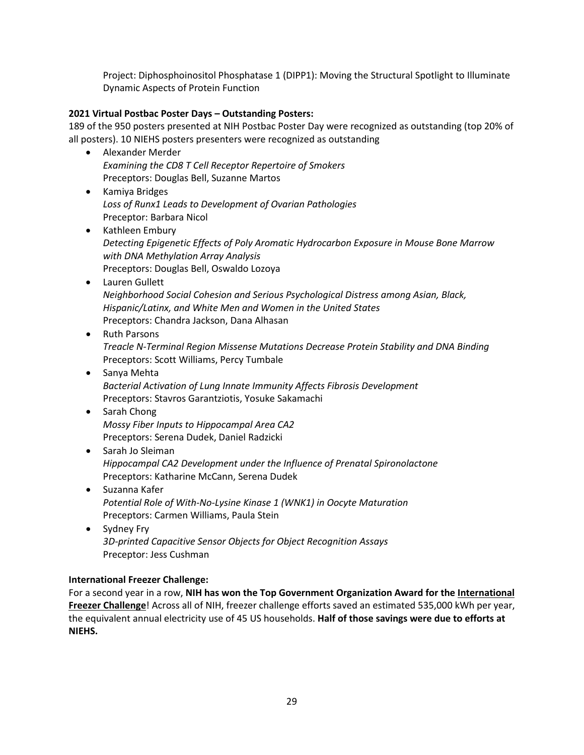Dynamic Aspects of Protein Function Project: Diphosphoinositol Phosphatase 1 (DIPP1): Moving the Structural Spotlight to Illuminate

### **2021 Virtual Postbac Poster Days – Outstanding Posters:**

 189 of the 950 posters presented at NIH Postbac Poster Day were recognized as outstanding (top 20% of all posters). 10 NIEHS posters presenters were recognized as outstanding

- Alexander Merder *Examining the CD8 T Cell Receptor Repertoire of Smokers*  Preceptors: Douglas Bell, Suzanne Martos
- Kamiya Bridges *Loss of Runx1 Leads to Development of Ovarian Pathologies*  Preceptor: Barbara Nicol
- Kathleen Embury *Detecting Epigenetic Effects of Poly Aromatic Hydrocarbon Exposure in Mouse Bone Marrow with DNA Methylation Array Analysis*  Preceptors: Douglas Bell, Oswaldo Lozoya
- Lauren Gullett *Neighborhood Social Cohesion and Serious Psychological Distress among Asian, Black, Hispanic/Latinx, and White Men and Women in the United States*  Preceptors: Chandra Jackson, Dana Alhasan
- Ruth Parsons *Treacle N-Terminal Region Missense Mutations Decrease Protein Stability and DNA Binding*  Preceptors: Scott Williams, Percy Tumbale
- *Bacterial Activation of Lung Innate Immunity Affects Fibrosis Development*  • Sanya Mehta Preceptors: Stavros Garantziotis, Yosuke Sakamachi
- Sarah Chong *Mossy Fiber Inputs to Hippocampal Area CA2*  Preceptors: Serena Dudek, Daniel Radzicki
- Preceptors: Katharine McCann, Serena Dudek • Sarah Jo Sleiman *Hippocampal CA2 Development under the Influence of Prenatal Spironolactone*
- Suzanna Kafer *Potential Role of With-No-Lysine Kinase 1 (WNK1) in Oocyte Maturation*  Preceptors: Carmen Williams, Paula Stein
- Sydney Fry *3D-printed Capacitive Sensor Objects for Object Recognition Assays*  Preceptor: Jess Cushman

### **International Freezer Challenge:**

 For a second year in a row, **NIH has won the Top Government Organization Award for the [International](https://www.freezerchallenge.org/about.html)  [Freezer Challenge](https://www.freezerchallenge.org/about.html)**! Across all of NIH, freezer challenge efforts saved an estimated 535,000 kWh per year, the equivalent annual electricity use of 45 US households. **Half of those savings were due to efforts at NIEHS.**